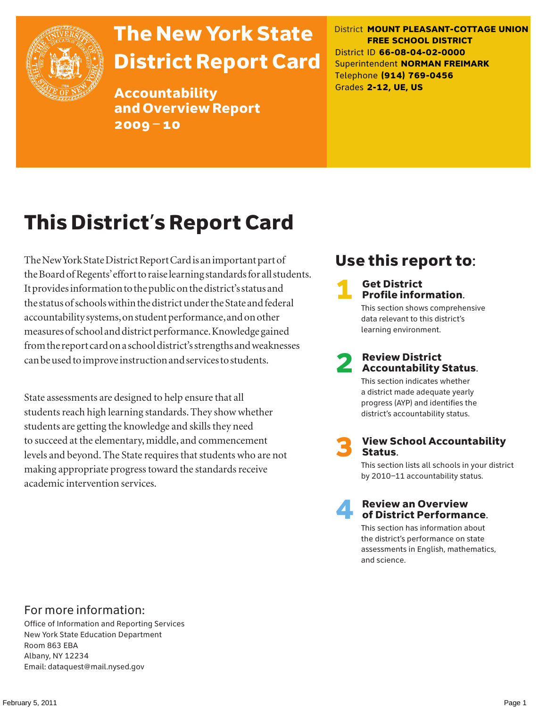

# The New York State District Report Card

Accountability and Overview Report 2009–10

District **MOUNT PLEASANT-COTTAGE UNION FREE SCHOOL DISTRICT** District ID **66-08-04-02-0000** Superintendent **NORMAN FREIMARK** Telephone **(914) 769-0456** Grades **2-12, UE, US**

# This District's Report Card

The New York State District Report Card is an important part of the Board of Regents' effort to raise learning standards for all students. It provides information to the public on the district's status and the status of schools within the district under the State and federal accountability systems, on student performance, and on other measures of school and district performance. Knowledge gained from the report card on a school district's strengths and weaknesses can be used to improve instruction and services to students.

State assessments are designed to help ensure that all students reach high learning standards. They show whether students are getting the knowledge and skills they need to succeed at the elementary, middle, and commencement levels and beyond. The State requires that students who are not making appropriate progress toward the standards receive academic intervention services.

# Use this report to:

#### **Get District** Profile information.

This section shows comprehensive data relevant to this district's learning environment.

# **2** Review District<br>Accountability Status.

This section indicates whether a district made adequate yearly progress (AYP) and identifies the district's accountability status.

**View School Accountability** Status.

This section lists all schools in your district by 2010–11 accountability status.



#### **Review an Overview** of District Performance.

This section has information about the district's performance on state assessments in English, mathematics, and science.

### For more information:

Office of Information and Reporting Services New York State Education Department Room 863 EBA Albany, NY 12234 Email: dataquest@mail.nysed.gov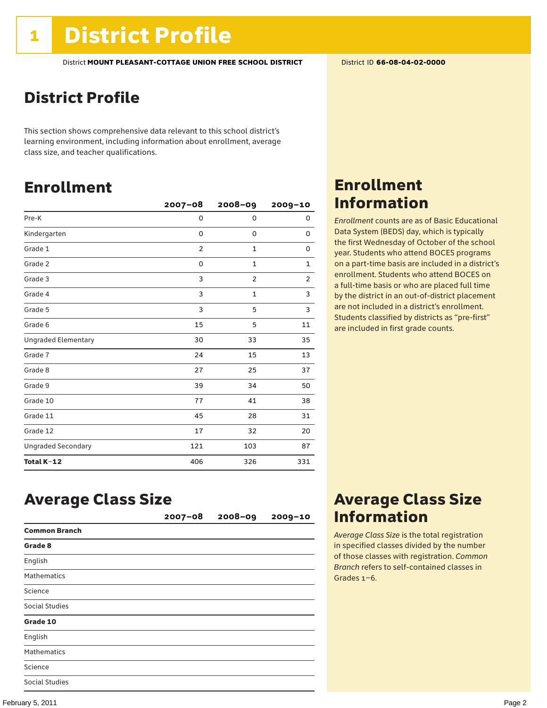## District Profile

This section shows comprehensive data relevant to this school district's learning environment, including information about enrollment, average class size, and teacher qualifications.

## Enrollment

|                            | $2007 - 08$    | $2008 - 09$    | 2009-10        |
|----------------------------|----------------|----------------|----------------|
| Pre-K                      | 0              | $\mathbf 0$    | 0              |
| Kindergarten               | 0              | 0              | 0              |
| Grade 1                    | $\overline{2}$ | 1              | 0              |
| Grade 2                    | 0              | $\mathbf 1$    | $\mathbf 1$    |
| Grade 3                    | 3              | $\overline{c}$ | $\overline{c}$ |
| Grade 4                    | 3              | $\mathbf{1}$   | 3              |
| Grade 5                    | 3              | 5              | 3              |
| Grade 6                    | 15             | 5              | 11             |
| <b>Ungraded Elementary</b> | 30             | 33             | 35             |
| Grade 7                    | 24             | 15             | 13             |
| Grade 8                    | 27             | 25             | 37             |
| Grade 9                    | 39             | 34             | 50             |
| Grade 10                   | 77             | 41             | 38             |
| Grade 11                   | 45             | 28             | 31             |
| Grade 12                   | 17             | 32             | 20             |
| <b>Ungraded Secondary</b>  | 121            | 103            | 87             |
| Total K-12                 | 406            | 326            | 331            |

### Enrollment Information

*Enrollment* counts are as of Basic Educational Data System (BEDS) day, which is typically the first Wednesday of October of the school year. Students who attend BOCES programs on a part-time basis are included in a district's enrollment. Students who attend BOCES on a full-time basis or who are placed full time by the district in an out-of-district placement are not included in a district's enrollment. Students classified by districts as "pre-first" are included in first grade counts.

### Average Class Size

|                       | $2007 - 08$ | 2008-09 | $2009 - 10$ |
|-----------------------|-------------|---------|-------------|
| <b>Common Branch</b>  |             |         |             |
| Grade 8               |             |         |             |
| English               |             |         |             |
| <b>Mathematics</b>    |             |         |             |
| Science               |             |         |             |
| <b>Social Studies</b> |             |         |             |
| Grade 10              |             |         |             |
| English               |             |         |             |
| <b>Mathematics</b>    |             |         |             |
| Science               |             |         |             |
| <b>Social Studies</b> |             |         |             |

### Average Class Size Information

*Average Class Size* is the total registration in specified classes divided by the number of those classes with registration. *Common Branch* refers to self-contained classes in Grades 1–6.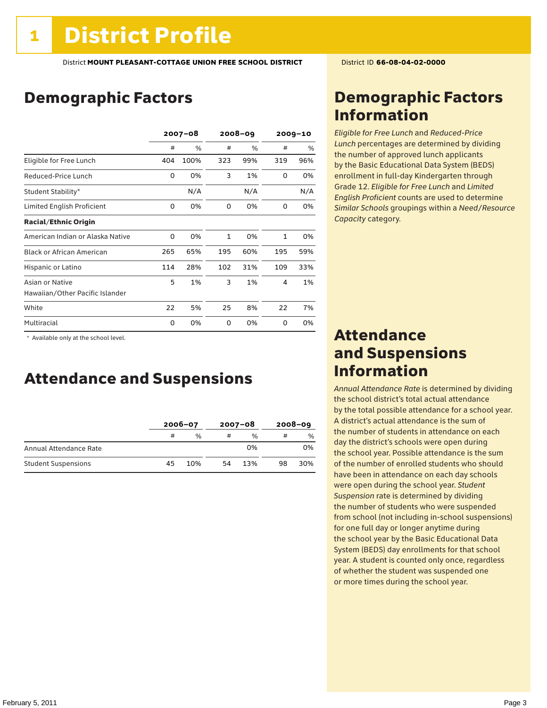## Demographic Factors

|                                  | $2007 - 08$ |      | $2008 - 09$  |     | $2009 - 10$  |     |
|----------------------------------|-------------|------|--------------|-----|--------------|-----|
|                                  | #           | %    | #            | %   | #            | %   |
| Eligible for Free Lunch          | 404         | 100% | 323          | 99% | 319          | 96% |
| Reduced-Price Lunch              | 0           | 0%   | 3            | 1%  | 0            | 0%  |
| Student Stability*               |             | N/A  |              | N/A |              | N/A |
| Limited English Proficient       | 0           | 0%   | 0            | 0%  | 0            | 0%  |
| <b>Racial/Ethnic Origin</b>      |             |      |              |     |              |     |
| American Indian or Alaska Native | 0           | 0%   | $\mathbf{1}$ | 0%  | $\mathbf{1}$ | 0%  |
| <b>Black or African American</b> | 265         | 65%  | 195          | 60% | 195          | 59% |
| Hispanic or Latino               | 114         | 28%  | 102          | 31% | 109          | 33% |
| Asian or Native                  | 5           | 1%   | 3            | 1%  | 4            | 1%  |
| Hawaiian/Other Pacific Islander  |             |      |              |     |              |     |
| White                            | 22          | 5%   | 25           | 8%  | 22           | 7%  |
| Multiracial                      | 0           | 0%   | 0            | 0%  | 0            | 0%  |

 \* Available only at the school level.

### Attendance and Suspensions

|                            |    | $2006 - 07$   |    | $2007 - 08$   | $2008 - 09$ |     |
|----------------------------|----|---------------|----|---------------|-------------|-----|
|                            | #  | $\frac{0}{6}$ | #  | $\frac{1}{2}$ | #           | %   |
| Annual Attendance Rate     |    |               |    | 0%            |             | 0%  |
| <b>Student Suspensions</b> | 45 | 10%           | 54 | 13%           | 98          | 30% |

### Demographic Factors Information

*Eligible for Free Lunch* and *Reduced*-*Price Lunch* percentages are determined by dividing the number of approved lunch applicants by the Basic Educational Data System (BEDS) enrollment in full-day Kindergarten through Grade 12. *Eligible for Free Lunch* and *Limited English Proficient* counts are used to determine *Similar Schools* groupings within a *Need*/*Resource Capacity* category.

### Attendance and Suspensions Information

*Annual Attendance Rate* is determined by dividing the school district's total actual attendance by the total possible attendance for a school year. A district's actual attendance is the sum of the number of students in attendance on each day the district's schools were open during the school year. Possible attendance is the sum of the number of enrolled students who should have been in attendance on each day schools were open during the school year. *Student Suspension* rate is determined by dividing the number of students who were suspended from school (not including in-school suspensions) for one full day or longer anytime during the school year by the Basic Educational Data System (BEDS) day enrollments for that school year. A student is counted only once, regardless of whether the student was suspended one or more times during the school year.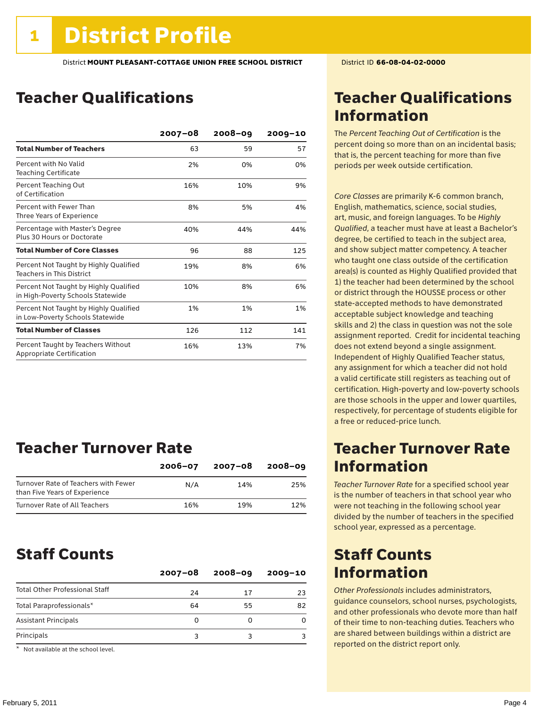### Teacher Qualifications

|                                                                             | $2007 - 08$ | $2008 - 09$ | $2009 - 10$ |
|-----------------------------------------------------------------------------|-------------|-------------|-------------|
| <b>Total Number of Teachers</b>                                             | 63          | 59          | 57          |
| Percent with No Valid<br><b>Teaching Certificate</b>                        | 2%          | 0%          | 0%          |
| Percent Teaching Out<br>of Certification                                    | 16%         | 10%         | 9%          |
| Percent with Fewer Than<br>Three Years of Experience                        | 8%          | 5%          | 4%          |
| Percentage with Master's Degree<br>Plus 30 Hours or Doctorate               | 40%         | 44%         | 44%         |
| <b>Total Number of Core Classes</b>                                         | 96          | 88          | 125         |
| Percent Not Taught by Highly Qualified<br><b>Teachers in This District</b>  | 19%         | 8%          | 6%          |
| Percent Not Taught by Highly Qualified<br>in High-Poverty Schools Statewide | 10%         | 8%          | 6%          |
| Percent Not Taught by Highly Qualified<br>in Low-Poverty Schools Statewide  | 1%          | 1%          | 1%          |
| <b>Total Number of Classes</b>                                              | 126         | 112         | 141         |
| Percent Taught by Teachers Without<br>Appropriate Certification             | 16%         | 13%         | 7%          |

### Teacher Turnover Rate

|                                                                       | $2006 - 07$ | 2007-08 | $2008 - 09$ |
|-----------------------------------------------------------------------|-------------|---------|-------------|
| Turnover Rate of Teachers with Fewer<br>than Five Years of Experience | N/A         | 14%     | 25%         |
| Turnover Rate of All Teachers                                         | 16%         | 19%     | 12%         |

### Staff Counts

|                                       | $2007 - 08$ | $2008 - 09$ | $2009 - 10$ |
|---------------------------------------|-------------|-------------|-------------|
| <b>Total Other Professional Staff</b> | 24          | 17          | 23          |
| Total Paraprofessionals*              | 64          | 55          | 82          |
| <b>Assistant Principals</b>           | O           |             |             |
| Principals                            |             |             |             |

\* Not available at the school level.

### Teacher Qualifications Information

The *Percent Teaching Out of Certification* is the percent doing so more than on an incidental basis; that is, the percent teaching for more than five periods per week outside certification.

*Core Classes* are primarily K-6 common branch, English, mathematics, science, social studies, art, music, and foreign languages. To be *Highly Qualified*, a teacher must have at least a Bachelor's degree, be certified to teach in the subject area, and show subject matter competency. A teacher who taught one class outside of the certification area(s) is counted as Highly Qualified provided that 1) the teacher had been determined by the school or district through the HOUSSE process or other state-accepted methods to have demonstrated acceptable subject knowledge and teaching skills and 2) the class in question was not the sole assignment reported. Credit for incidental teaching does not extend beyond a single assignment. Independent of Highly Qualified Teacher status, any assignment for which a teacher did not hold a valid certificate still registers as teaching out of certification. High-poverty and low-poverty schools are those schools in the upper and lower quartiles, respectively, for percentage of students eligible for a free or reduced-price lunch.

### Teacher Turnover Rate Information

*Teacher Turnover Rate* for a specified school year is the number of teachers in that school year who were not teaching in the following school year divided by the number of teachers in the specified school year, expressed as a percentage.

### Staff Counts Information

*Other Professionals* includes administrators, guidance counselors, school nurses, psychologists, and other professionals who devote more than half of their time to non-teaching duties. Teachers who are shared between buildings within a district are reported on the district report only.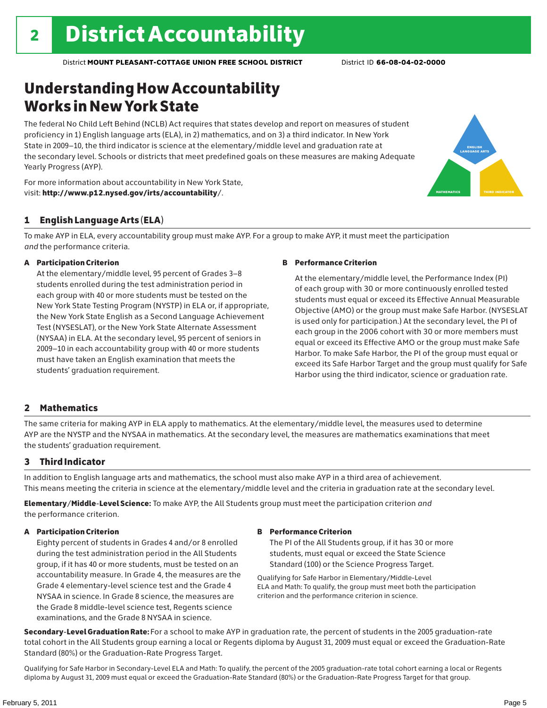### Understanding How Accountability Works in New York State

The federal No Child Left Behind (NCLB) Act requires that states develop and report on measures of student proficiency in 1) English language arts (ELA), in 2) mathematics, and on 3) a third indicator. In New York State in 2009–10, the third indicator is science at the elementary/middle level and graduation rate at the secondary level. Schools or districts that meet predefined goals on these measures are making Adequate Yearly Progress (AYP).



For more information about accountability in New York State, visit: http://www.p12.nysed.gov/irts/accountability/.

#### 1 English Language Arts (ELA)

To make AYP in ELA, every accountability group must make AYP. For a group to make AYP, it must meet the participation *and* the performance criteria.

#### A Participation Criterion

At the elementary/middle level, 95 percent of Grades 3–8 students enrolled during the test administration period in each group with 40 or more students must be tested on the New York State Testing Program (NYSTP) in ELA or, if appropriate, the New York State English as a Second Language Achievement Test (NYSESLAT), or the New York State Alternate Assessment (NYSAA) in ELA. At the secondary level, 95 percent of seniors in 2009–10 in each accountability group with 40 or more students must have taken an English examination that meets the students' graduation requirement.

#### B Performance Criterion

At the elementary/middle level, the Performance Index (PI) of each group with 30 or more continuously enrolled tested students must equal or exceed its Effective Annual Measurable Objective (AMO) or the group must make Safe Harbor. (NYSESLAT is used only for participation.) At the secondary level, the PI of each group in the 2006 cohort with 30 or more members must equal or exceed its Effective AMO or the group must make Safe Harbor. To make Safe Harbor, the PI of the group must equal or exceed its Safe Harbor Target and the group must qualify for Safe Harbor using the third indicator, science or graduation rate.

#### 2 Mathematics

The same criteria for making AYP in ELA apply to mathematics. At the elementary/middle level, the measures used to determine AYP are the NYSTP and the NYSAA in mathematics. At the secondary level, the measures are mathematics examinations that meet the students' graduation requirement.

#### 3 Third Indicator

In addition to English language arts and mathematics, the school must also make AYP in a third area of achievement. This means meeting the criteria in science at the elementary/middle level and the criteria in graduation rate at the secondary level.

Elementary/Middle-Level Science: To make AYP, the All Students group must meet the participation criterion *and* the performance criterion.

#### A Participation Criterion

Eighty percent of students in Grades 4 and/or 8 enrolled during the test administration period in the All Students group, if it has 40 or more students, must be tested on an accountability measure. In Grade 4, the measures are the Grade 4 elementary-level science test and the Grade 4 NYSAA in science. In Grade 8 science, the measures are the Grade 8 middle-level science test, Regents science examinations, and the Grade 8 NYSAA in science.

#### B Performance Criterion

The PI of the All Students group, if it has 30 or more students, must equal or exceed the State Science Standard (100) or the Science Progress Target.

Qualifying for Safe Harbor in Elementary/Middle-Level ELA and Math: To qualify, the group must meet both the participation criterion and the performance criterion in science.

Secondary-Level Graduation Rate: For a school to make AYP in graduation rate, the percent of students in the 2005 graduation-rate total cohort in the All Students group earning a local or Regents diploma by August 31, 2009 must equal or exceed the Graduation-Rate Standard (80%) or the Graduation-Rate Progress Target.

Qualifying for Safe Harbor in Secondary-Level ELA and Math: To qualify, the percent of the 2005 graduation-rate total cohort earning a local or Regents diploma by August 31, 2009 must equal or exceed the Graduation-Rate Standard (80%) or the Graduation-Rate Progress Target for that group.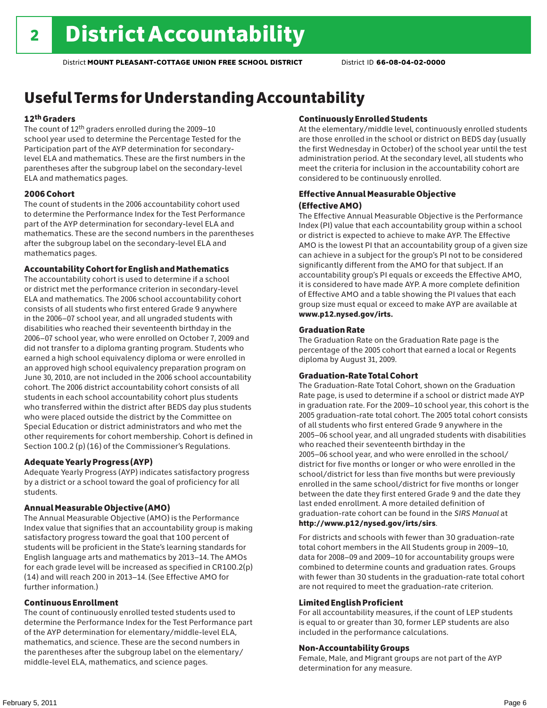## Useful Terms for Understanding Accountability

#### 12th Graders

The count of 12th graders enrolled during the 2009–10 school year used to determine the Percentage Tested for the Participation part of the AYP determination for secondarylevel ELA and mathematics. These are the first numbers in the parentheses after the subgroup label on the secondary-level ELA and mathematics pages.

#### 2006 Cohort

The count of students in the 2006 accountability cohort used to determine the Performance Index for the Test Performance part of the AYP determination for secondary-level ELA and mathematics. These are the second numbers in the parentheses after the subgroup label on the secondary-level ELA and mathematics pages.

#### Accountability Cohort for English and Mathematics

The accountability cohort is used to determine if a school or district met the performance criterion in secondary-level ELA and mathematics. The 2006 school accountability cohort consists of all students who first entered Grade 9 anywhere in the 2006–07 school year, and all ungraded students with disabilities who reached their seventeenth birthday in the 2006–07 school year, who were enrolled on October 7, 2009 and did not transfer to a diploma granting program. Students who earned a high school equivalency diploma or were enrolled in an approved high school equivalency preparation program on June 30, 2010, are not included in the 2006 school accountability cohort. The 2006 district accountability cohort consists of all students in each school accountability cohort plus students who transferred within the district after BEDS day plus students who were placed outside the district by the Committee on Special Education or district administrators and who met the other requirements for cohort membership. Cohort is defined in Section 100.2 (p) (16) of the Commissioner's Regulations.

#### Adequate Yearly Progress (AYP)

Adequate Yearly Progress (AYP) indicates satisfactory progress by a district or a school toward the goal of proficiency for all students.

#### Annual Measurable Objective (AMO)

The Annual Measurable Objective (AMO) is the Performance Index value that signifies that an accountability group is making satisfactory progress toward the goal that 100 percent of students will be proficient in the State's learning standards for English language arts and mathematics by 2013–14. The AMOs for each grade level will be increased as specified in CR100.2(p) (14) and will reach 200 in 2013–14. (See Effective AMO for further information.)

#### Continuous Enrollment

The count of continuously enrolled tested students used to determine the Performance Index for the Test Performance part of the AYP determination for elementary/middle-level ELA, mathematics, and science. These are the second numbers in the parentheses after the subgroup label on the elementary/ middle-level ELA, mathematics, and science pages.

#### Continuously Enrolled Students

At the elementary/middle level, continuously enrolled students are those enrolled in the school or district on BEDS day (usually the first Wednesday in October) of the school year until the test administration period. At the secondary level, all students who meet the criteria for inclusion in the accountability cohort are considered to be continuously enrolled.

#### Effective Annual Measurable Objective (Effective AMO)

The Effective Annual Measurable Objective is the Performance Index (PI) value that each accountability group within a school or district is expected to achieve to make AYP. The Effective AMO is the lowest PI that an accountability group of a given size can achieve in a subject for the group's PI not to be considered significantly different from the AMO for that subject. If an accountability group's PI equals or exceeds the Effective AMO, it is considered to have made AYP. A more complete definition of Effective AMO and a table showing the PI values that each group size must equal or exceed to make AYP are available at www.p12.nysed.gov/irts.

#### Graduation Rate

The Graduation Rate on the Graduation Rate page is the percentage of the 2005 cohort that earned a local or Regents diploma by August 31, 2009.

#### Graduation-Rate Total Cohort

The Graduation-Rate Total Cohort, shown on the Graduation Rate page, is used to determine if a school or district made AYP in graduation rate. For the 2009–10 school year, this cohort is the 2005 graduation-rate total cohort. The 2005 total cohort consists of all students who first entered Grade 9 anywhere in the 2005–06 school year, and all ungraded students with disabilities who reached their seventeenth birthday in the 2005–06 school year, and who were enrolled in the school/ district for five months or longer or who were enrolled in the school/district for less than five months but were previously enrolled in the same school/district for five months or longer between the date they first entered Grade 9 and the date they last ended enrollment. A more detailed definition of graduation-rate cohort can be found in the *SIRS Manual* at http://www.p12/nysed.gov/irts/sirs.

For districts and schools with fewer than 30 graduation-rate total cohort members in the All Students group in 2009–10, data for 2008–09 and 2009–10 for accountability groups were combined to determine counts and graduation rates. Groups with fewer than 30 students in the graduation-rate total cohort are not required to meet the graduation-rate criterion.

#### Limited English Proficient

For all accountability measures, if the count of LEP students is equal to or greater than 30, former LEP students are also included in the performance calculations.

#### Non-Accountability Groups

Female, Male, and Migrant groups are not part of the AYP determination for any measure.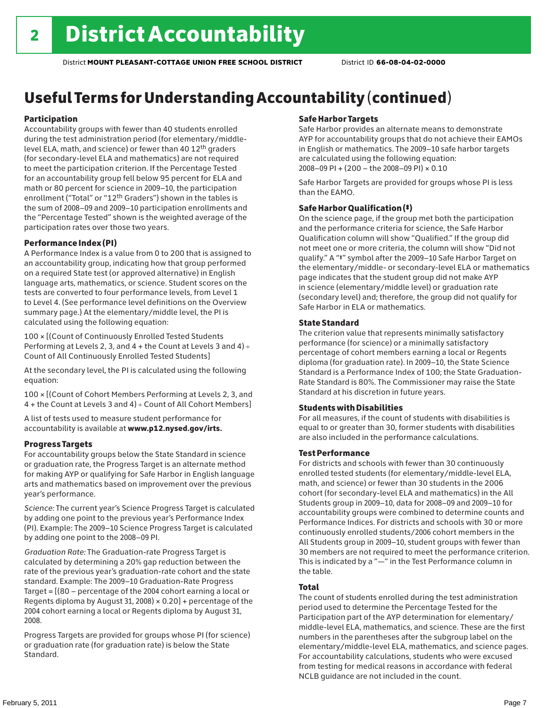# Useful Terms for Understanding Accountability (continued)

#### Participation

Accountability groups with fewer than 40 students enrolled during the test administration period (for elementary/middlelevel ELA, math, and science) or fewer than 40 12th graders (for secondary-level ELA and mathematics) are not required to meet the participation criterion. If the Percentage Tested for an accountability group fell below 95 percent for ELA and math or 80 percent for science in 2009–10, the participation enrollment ("Total" or "12th Graders") shown in the tables is the sum of 2008–09 and 2009–10 participation enrollments and the "Percentage Tested" shown is the weighted average of the participation rates over those two years.

#### Performance Index (PI)

A Performance Index is a value from 0 to 200 that is assigned to an accountability group, indicating how that group performed on a required State test (or approved alternative) in English language arts, mathematics, or science. Student scores on the tests are converted to four performance levels, from Level 1 to Level 4. (See performance level definitions on the Overview summary page.) At the elementary/middle level, the PI is calculated using the following equation:

100 × [(Count of Continuously Enrolled Tested Students Performing at Levels 2, 3, and 4 + the Count at Levels 3 and 4) Count of All Continuously Enrolled Tested Students]

At the secondary level, the PI is calculated using the following equation:

100 × [(Count of Cohort Members Performing at Levels 2, 3, and 4 + the Count at Levels 3 and 4) Count of All Cohort Members]

A list of tests used to measure student performance for accountability is available at www.p12.nysed.gov/irts.

#### Progress Targets

For accountability groups below the State Standard in science or graduation rate, the Progress Target is an alternate method for making AYP or qualifying for Safe Harbor in English language arts and mathematics based on improvement over the previous year's performance.

*Science:* The current year's Science Progress Target is calculated by adding one point to the previous year's Performance Index (PI). Example: The 2009–10 Science Progress Target is calculated by adding one point to the 2008–09 PI.

*Graduation Rate:* The Graduation-rate Progress Target is calculated by determining a 20% gap reduction between the rate of the previous year's graduation-rate cohort and the state standard. Example: The 2009–10 Graduation-Rate Progress Target = [(80 – percentage of the 2004 cohort earning a local or Regents diploma by August 31, 2008)  $\times$  0.20] + percentage of the 2004 cohort earning a local or Regents diploma by August 31, 2008.

Progress Targets are provided for groups whose PI (for science) or graduation rate (for graduation rate) is below the State Standard.

#### Safe Harbor Targets

Safe Harbor provides an alternate means to demonstrate AYP for accountability groups that do not achieve their EAMOs in English or mathematics. The 2009–10 safe harbor targets are calculated using the following equation: 2008–09 PI + (200 – the 2008–09 PI) × 0.10

Safe Harbor Targets are provided for groups whose PI is less than the EAMO.

#### Safe Harbor Qualification (‡)

On the science page, if the group met both the participation and the performance criteria for science, the Safe Harbor Qualification column will show "Qualified." If the group did not meet one or more criteria, the column will show "Did not qualify." A "‡" symbol after the 2009–10 Safe Harbor Target on the elementary/middle- or secondary-level ELA or mathematics page indicates that the student group did not make AYP in science (elementary/middle level) or graduation rate (secondary level) and; therefore, the group did not qualify for Safe Harbor in ELA or mathematics.

#### State Standard

The criterion value that represents minimally satisfactory performance (for science) or a minimally satisfactory percentage of cohort members earning a local or Regents diploma (for graduation rate). In 2009–10, the State Science Standard is a Performance Index of 100; the State Graduation-Rate Standard is 80%. The Commissioner may raise the State Standard at his discretion in future years.

#### Students with Disabilities

For all measures, if the count of students with disabilities is equal to or greater than 30, former students with disabilities are also included in the performance calculations.

#### Test Performance

For districts and schools with fewer than 30 continuously enrolled tested students (for elementary/middle-level ELA, math, and science) or fewer than 30 students in the 2006 cohort (for secondary-level ELA and mathematics) in the All Students group in 2009–10, data for 2008–09 and 2009–10 for accountability groups were combined to determine counts and Performance Indices. For districts and schools with 30 or more continuously enrolled students/2006 cohort members in the All Students group in 2009–10, student groups with fewer than 30 members are not required to meet the performance criterion. This is indicated by a "—" in the Test Performance column in the table.

#### Total

The count of students enrolled during the test administration period used to determine the Percentage Tested for the Participation part of the AYP determination for elementary/ middle-level ELA, mathematics, and science. These are the first numbers in the parentheses after the subgroup label on the elementary/middle-level ELA, mathematics, and science pages. For accountability calculations, students who were excused from testing for medical reasons in accordance with federal NCLB guidance are not included in the count.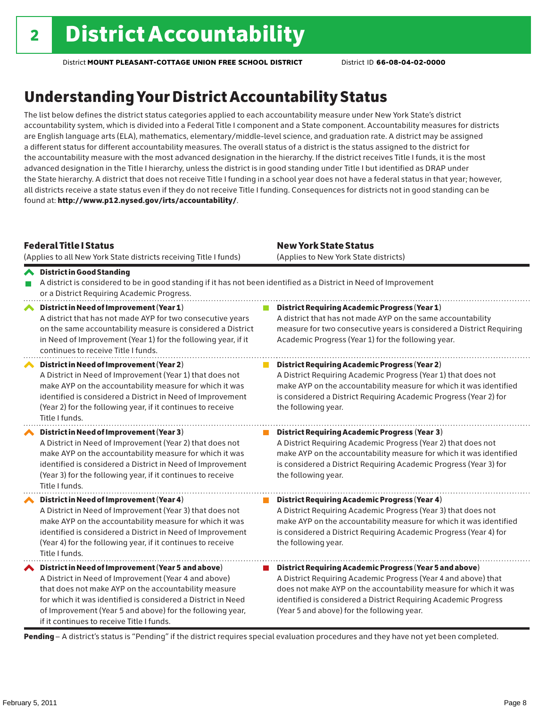### Understanding Your District Accountability Status

The list below defines the district status categories applied to each accountability measure under New York State's district accountability system, which is divided into a Federal Title I component and a State component. Accountability measures for districts are English language arts (ELA), mathematics, elementary/middle-level science, and graduation rate. A district may be assigned a different status for different accountability measures. The overall status of a district is the status assigned to the district for the accountability measure with the most advanced designation in the hierarchy. If the district receives Title I funds, it is the most advanced designation in the Title I hierarchy, unless the district is in good standing under Title I but identified as DRAP under the State hierarchy. A district that does not receive Title I funding in a school year does not have a federal status in that year; however, all districts receive a state status even if they do not receive Title I funding. Consequences for districts not in good standing can be found at: http://www.p12.nysed.gov/irts/accountability/.

| <b>Federal Title I Status</b>      | (Applies to all New York State districts receiving Title I funds)                                                                                                                                                                                                                                                                              | <b>New York State Status</b><br>(Applies to New York State districts)                                                                                                                                                                                                                                          |
|------------------------------------|------------------------------------------------------------------------------------------------------------------------------------------------------------------------------------------------------------------------------------------------------------------------------------------------------------------------------------------------|----------------------------------------------------------------------------------------------------------------------------------------------------------------------------------------------------------------------------------------------------------------------------------------------------------------|
| <b>◆</b> District in Good Standing | or a District Requiring Academic Progress.                                                                                                                                                                                                                                                                                                     | A district is considered to be in good standing if it has not been identified as a District in Need of Improvement                                                                                                                                                                                             |
| ∧                                  | District in Need of Improvement (Year 1)<br>A district that has not made AYP for two consecutive years<br>on the same accountability measure is considered a District<br>in Need of Improvement (Year 1) for the following year, if it<br>continues to receive Title I funds.                                                                  | <b>District Requiring Academic Progress (Year 1)</b><br>A district that has not made AYP on the same accountability<br>measure for two consecutive years is considered a District Requiring<br>Academic Progress (Year 1) for the following year.                                                              |
| Title I funds.                     | District in Need of Improvement (Year 2)<br>A District in Need of Improvement (Year 1) that does not<br>make AYP on the accountability measure for which it was<br>identified is considered a District in Need of Improvement<br>(Year 2) for the following year, if it continues to receive                                                   | <b>District Requiring Academic Progress (Year 2)</b><br>A District Requiring Academic Progress (Year 1) that does not<br>make AYP on the accountability measure for which it was identified<br>is considered a District Requiring Academic Progress (Year 2) for<br>the following year.                        |
| Title I funds.                     | District in Need of Improvement (Year 3)<br>A District in Need of Improvement (Year 2) that does not<br>make AYP on the accountability measure for which it was<br>identified is considered a District in Need of Improvement<br>(Year 3) for the following year, if it continues to receive                                                   | <b>District Requiring Academic Progress (Year 3)</b><br>A District Requiring Academic Progress (Year 2) that does not<br>make AYP on the accountability measure for which it was identified<br>is considered a District Requiring Academic Progress (Year 3) for<br>the following year.                        |
| Title I funds.                     | District in Need of Improvement (Year 4)<br>A District in Need of Improvement (Year 3) that does not<br>make AYP on the accountability measure for which it was<br>identified is considered a District in Need of Improvement<br>(Year 4) for the following year, if it continues to receive                                                   | <b>District Requiring Academic Progress (Year 4)</b><br>A District Requiring Academic Progress (Year 3) that does not<br>make AYP on the accountability measure for which it was identified<br>is considered a District Requiring Academic Progress (Year 4) for<br>the following year.                        |
|                                    | ◆ District in Need of Improvement (Year 5 and above)<br>A District in Need of Improvement (Year 4 and above)<br>that does not make AYP on the accountability measure<br>for which it was identified is considered a District in Need<br>of Improvement (Year 5 and above) for the following year,<br>if it continues to receive Title I funds. | District Requiring Academic Progress (Year 5 and above)<br>A District Requiring Academic Progress (Year 4 and above) that<br>does not make AYP on the accountability measure for which it was<br>identified is considered a District Requiring Academic Progress<br>(Year 5 and above) for the following year. |

Pending - A district's status is "Pending" if the district requires special evaluation procedures and they have not yet been completed.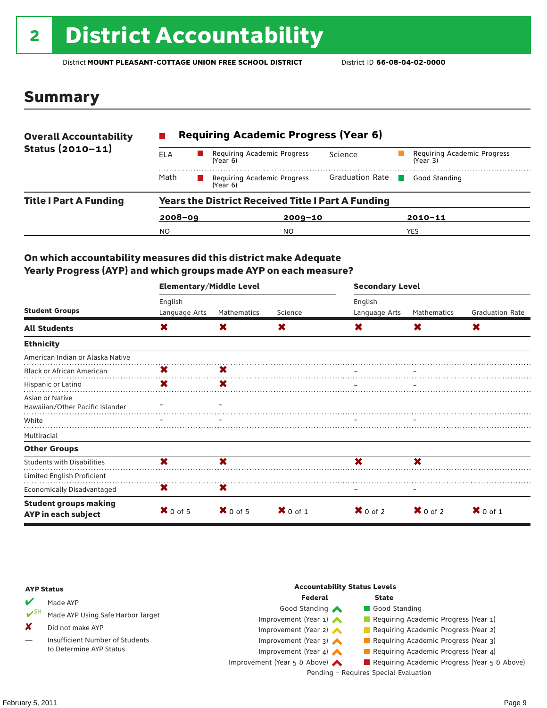# 2 **District Accountability**

District **MOUNT PLEASANT-COTTAGE UNION FREE SCHOOL DISTRICT** District ID **66-08-04-02-0000**

### Summary

| <b>Overall Accountability</b> | <b>Requiring Academic Progress (Year 6)</b>               |                                         |                        |                                         |  |  |  |
|-------------------------------|-----------------------------------------------------------|-----------------------------------------|------------------------|-----------------------------------------|--|--|--|
| Status (2010-11)              | ELA                                                       | Requiring Academic Progress<br>(Year 6) | Science                | Requiring Academic Progress<br>(Year 3) |  |  |  |
|                               | Math                                                      | Requiring Academic Progress<br>(Year 6) | <b>Graduation Rate</b> | Good Standing                           |  |  |  |
| <b>Title I Part A Funding</b> | <b>Years the District Received Title I Part A Funding</b> |                                         |                        |                                         |  |  |  |
|                               | $2008 - 09$                                               | $2009 - 10$                             |                        | $2010 - 11$                             |  |  |  |
|                               | NO.                                                       | NO.                                     |                        | YES                                     |  |  |  |

#### On which accountability measures did this district make Adequate Yearly Progress (AYP) and which groups made AYP on each measure?

|                                                     | <b>Elementary/Middle Level</b> |             |                     | <b>Secondary Level</b> |                     |                        |  |
|-----------------------------------------------------|--------------------------------|-------------|---------------------|------------------------|---------------------|------------------------|--|
|                                                     | English                        |             |                     | English                |                     |                        |  |
| <b>Student Groups</b>                               | Language Arts                  | Mathematics | Science             | Language Arts          | Mathematics         | <b>Graduation Rate</b> |  |
| <b>All Students</b>                                 | X                              | X           | X                   | X.                     | X                   | X                      |  |
| <b>Ethnicity</b>                                    |                                |             |                     |                        |                     |                        |  |
| American Indian or Alaska Native                    |                                |             |                     |                        |                     |                        |  |
| <b>Black or African American</b>                    | X                              | X           |                     |                        |                     |                        |  |
| Hispanic or Latino                                  | X                              | X           |                     |                        |                     |                        |  |
| Asian or Native<br>Hawaiian/Other Pacific Islander  |                                |             |                     |                        |                     |                        |  |
| White                                               |                                |             |                     |                        |                     |                        |  |
| Multiracial                                         |                                |             |                     |                        |                     |                        |  |
| <b>Other Groups</b>                                 |                                |             |                     |                        |                     |                        |  |
| <b>Students with Disabilities</b>                   | X                              | ×           |                     | ×                      | X                   |                        |  |
| Limited English Proficient                          |                                |             |                     |                        |                     |                        |  |
| <b>Economically Disadvantaged</b>                   | X                              | X           |                     |                        |                     |                        |  |
| <b>Student groups making</b><br>AYP in each subject | $X$ 0 of 5                     | $X$ 0 of 5  | $\mathbf{X}$ 0 of 1 | $\mathbf{X}$ 0 of 2    | $\mathbf{X}$ 0 of 2 | $X$ 0 of 1             |  |

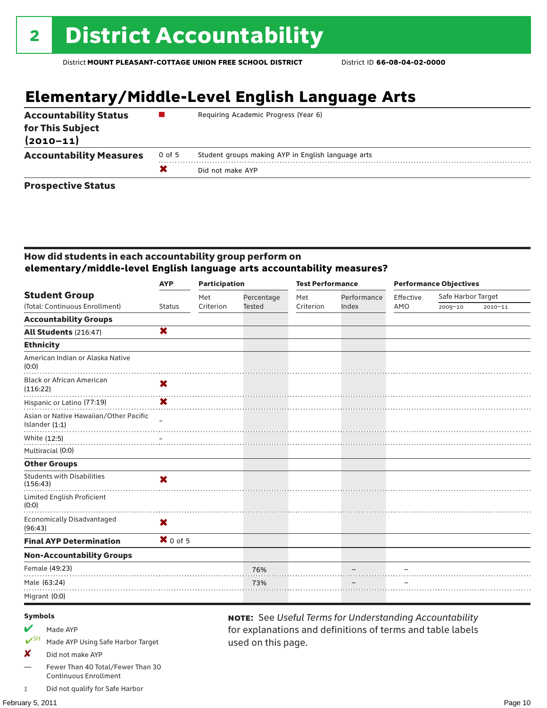# **Elementary/Middle-Level English Language Arts**

| <b>Accountability Status</b><br>for This Subject<br>$(2010 - 11)$ |        | Requiring Academic Progress (Year 6)               |
|-------------------------------------------------------------------|--------|----------------------------------------------------|
| <b>Accountability Measures</b>                                    | 0 of 5 | Student groups making AYP in English language arts |
|                                                                   |        | Did not make AYP                                   |
|                                                                   |        |                                                    |

#### Prospective Status

#### How did students in each accountability group perform on **elementary/middle-level English language arts accountability measures?**

|                                                          | <b>AYP</b>    | <b>Participation</b> |               | <b>Test Performance</b> |             | <b>Performance Objectives</b> |                    |             |
|----------------------------------------------------------|---------------|----------------------|---------------|-------------------------|-------------|-------------------------------|--------------------|-------------|
| <b>Student Group</b>                                     |               | Met                  | Percentage    | Met                     | Performance | Effective                     | Safe Harbor Target |             |
| (Total: Continuous Enrollment)                           | <b>Status</b> | Criterion            | <b>Tested</b> | Criterion               | Index       | AMO                           | 2009-10            | $2010 - 11$ |
| <b>Accountability Groups</b>                             |               |                      |               |                         |             |                               |                    |             |
| All Students (216:47)                                    | X             |                      |               |                         |             |                               |                    |             |
| <b>Ethnicity</b>                                         |               |                      |               |                         |             |                               |                    |             |
| American Indian or Alaska Native<br>(0:0)                |               |                      |               |                         |             |                               |                    |             |
| <b>Black or African American</b><br>(116:22)             | X             |                      |               |                         |             |                               |                    |             |
| Hispanic or Latino (77:19)                               | X             |                      |               |                         |             |                               |                    |             |
| Asian or Native Hawaiian/Other Pacific<br>Islander (1:1) |               |                      |               |                         |             |                               |                    |             |
| White (12:5)<br>Multiracial (0:0)                        |               |                      |               |                         |             |                               |                    |             |
| <b>Other Groups</b>                                      |               |                      |               |                         |             |                               |                    |             |
| <b>Students with Disabilities</b><br>(156:43)            | X             |                      |               |                         |             |                               |                    |             |
| Limited English Proficient<br>(0:0)                      |               |                      |               |                         |             |                               |                    |             |
| <b>Economically Disadvantaged</b><br>(96:43)             | X             |                      |               |                         |             |                               |                    |             |
| <b>Final AYP Determination</b>                           | $X$ 0 of 5    |                      |               |                         |             |                               |                    |             |
| <b>Non-Accountability Groups</b>                         |               |                      |               |                         |             |                               |                    |             |
| Female (49:23)                                           |               |                      | 76%           |                         |             |                               |                    |             |
| Male (63:24)                                             |               |                      | 73%           |                         |             |                               |                    |             |
| Migrant (0:0)                                            |               |                      |               |                         |             |                               |                    |             |
|                                                          |               |                      |               |                         |             |                               |                    |             |

used on this page.

note: See *Useful Terms for Understanding Accountability*  for explanations and definitions of terms and table labels

#### Symbols

- Made AYP
- Made AYP Using Safe Harbor Target
- X Did not make AYP
- Fewer Than 40 Total/Fewer Than 30 Continuous Enrollment
- ‡ Did not qualify for Safe Harbor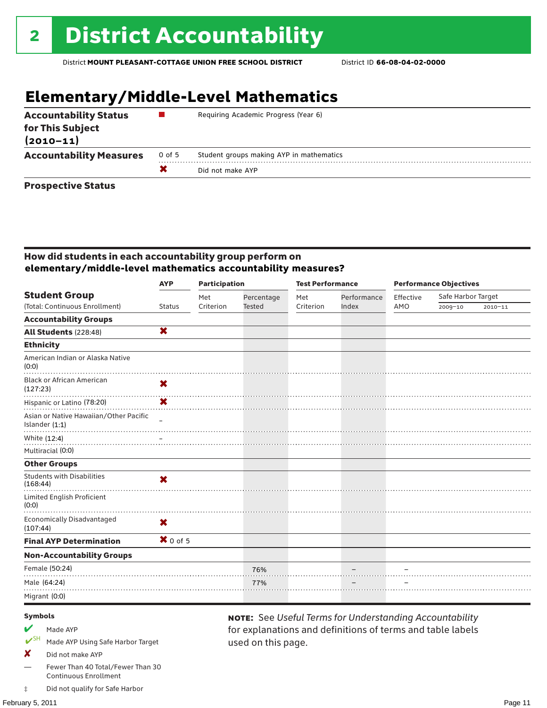# **Elementary/Middle-Level Mathematics**

| <b>Accountability Status</b><br>for This Subject<br>$(2010 - 11)$ |        | Requiring Academic Progress (Year 6)     |
|-------------------------------------------------------------------|--------|------------------------------------------|
| <b>Accountability Measures</b>                                    | 0 of 5 | Student groups making AYP in mathematics |
|                                                                   |        | Did not make AYP                         |
| Business and the Blakes                                           |        |                                          |

#### Prospective Status

#### How did students in each accountability group perform on **elementary/middle-level mathematics accountability measures?**

|                                                          | <b>AYP</b>                | <b>Participation</b> |            | <b>Test Performance</b> |             |           | <b>Performance Objectives</b> |             |
|----------------------------------------------------------|---------------------------|----------------------|------------|-------------------------|-------------|-----------|-------------------------------|-------------|
| <b>Student Group</b>                                     |                           | Met                  | Percentage | Met                     | Performance | Effective | Safe Harbor Target            |             |
| (Total: Continuous Enrollment)                           | <b>Status</b>             | Criterion            | Tested     | Criterion               | Index       | AMO       | 2009-10                       | $2010 - 11$ |
| <b>Accountability Groups</b>                             |                           |                      |            |                         |             |           |                               |             |
| All Students (228:48)                                    | X                         |                      |            |                         |             |           |                               |             |
| <b>Ethnicity</b>                                         |                           |                      |            |                         |             |           |                               |             |
| American Indian or Alaska Native<br>(0:0)                |                           |                      |            |                         |             |           |                               |             |
| <b>Black or African American</b><br>(127:23)             | X                         |                      |            |                         |             |           |                               |             |
| Hispanic or Latino (78:20)                               | $\mathbf x$               |                      |            |                         |             |           |                               |             |
| Asian or Native Hawaiian/Other Pacific<br>Islander (1:1) |                           |                      |            |                         |             |           |                               |             |
| White (12:4)                                             |                           |                      |            |                         |             |           |                               |             |
| Multiracial (0:0)                                        |                           |                      |            |                         |             |           |                               |             |
| <b>Other Groups</b>                                      |                           |                      |            |                         |             |           |                               |             |
| <b>Students with Disabilities</b><br>(168:44)            | $\boldsymbol{\mathsf{x}}$ |                      |            |                         |             |           |                               |             |
| Limited English Proficient<br>(0:0)                      |                           |                      |            |                         |             |           |                               |             |
| <b>Economically Disadvantaged</b><br>(107:44)            | X                         |                      |            |                         |             |           |                               |             |
| <b>Final AYP Determination</b>                           | $X$ 0 of 5                |                      |            |                         |             |           |                               |             |
| <b>Non-Accountability Groups</b>                         |                           |                      |            |                         |             |           |                               |             |
| Female (50:24)                                           |                           |                      | 76%        |                         |             |           |                               |             |
| Male (64:24)                                             |                           |                      | 77%        |                         |             |           |                               |             |
| Migrant (0:0)                                            |                           |                      |            |                         |             |           |                               |             |
|                                                          |                           |                      |            |                         |             |           |                               |             |

used on this page.

note: See *Useful Terms for Understanding Accountability*  for explanations and definitions of terms and table labels

#### Symbols

- Made AYP
- Made AYP Using Safe Harbor Target
- X Did not make AYP
- Fewer Than 40 Total/Fewer Than 30 Continuous Enrollment
- ‡ Did not qualify for Safe Harbor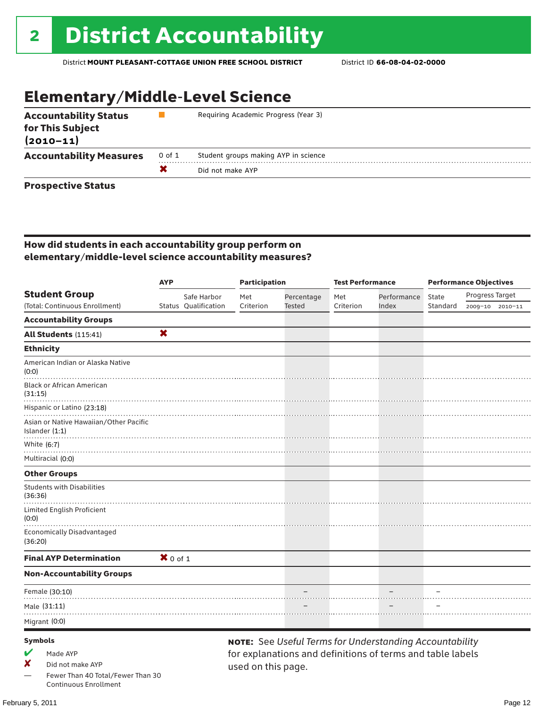# Elementary/Middle-Level Science

| <b>Accountability Status</b><br>for This Subject<br>$(2010 - 11)$ |        | Requiring Academic Progress (Year 3) |
|-------------------------------------------------------------------|--------|--------------------------------------|
| <b>Accountability Measures</b>                                    | 0 of 1 | Student groups making AYP in science |
|                                                                   |        | Did not make AYP                     |
|                                                                   |        |                                      |

#### Prospective Status

#### How did students in each accountability group perform on elementary/middle-level science accountability measures?

|                                                          | <b>AYP</b> |                      | <b>Participation</b> |            | <b>Test Performance</b> |                                                                | <b>Performance Objectives</b> |                 |                 |
|----------------------------------------------------------|------------|----------------------|----------------------|------------|-------------------------|----------------------------------------------------------------|-------------------------------|-----------------|-----------------|
| <b>Student Group</b>                                     |            | Safe Harbor          | Met                  | Percentage | Met                     | Performance                                                    | <b>State</b>                  | Progress Target |                 |
| (Total: Continuous Enrollment)                           |            | Status Qualification | Criterion            | Tested     | Criterion               | Index                                                          | Standard                      |                 | 2009-10 2010-11 |
| <b>Accountability Groups</b>                             |            |                      |                      |            |                         |                                                                |                               |                 |                 |
| All Students (115:41)                                    | X          |                      |                      |            |                         |                                                                |                               |                 |                 |
| <b>Ethnicity</b>                                         |            |                      |                      |            |                         |                                                                |                               |                 |                 |
| American Indian or Alaska Native<br>(0:0)                |            |                      |                      |            |                         |                                                                |                               |                 |                 |
| <b>Black or African American</b><br>(31:15)              |            |                      |                      |            |                         |                                                                |                               |                 |                 |
| Hispanic or Latino (23:18)                               |            |                      |                      |            |                         |                                                                |                               |                 |                 |
| Asian or Native Hawaiian/Other Pacific<br>Islander (1:1) |            |                      |                      |            |                         |                                                                |                               |                 |                 |
| White (6:7)                                              |            |                      |                      |            |                         |                                                                |                               |                 |                 |
| Multiracial (0:0)                                        |            |                      |                      |            |                         |                                                                |                               |                 |                 |
| <b>Other Groups</b>                                      |            |                      |                      |            |                         |                                                                |                               |                 |                 |
| <b>Students with Disabilities</b><br>(36:36)             |            |                      |                      |            |                         |                                                                |                               |                 |                 |
| Limited English Proficient<br>(0:0)                      |            |                      |                      |            |                         |                                                                |                               |                 |                 |
| <b>Economically Disadvantaged</b><br>(36:20)             |            |                      |                      |            |                         |                                                                |                               |                 |                 |
| <b>Final AYP Determination</b>                           | $X$ 0 of 1 |                      |                      |            |                         |                                                                |                               |                 |                 |
| <b>Non-Accountability Groups</b>                         |            |                      |                      |            |                         |                                                                |                               |                 |                 |
| Female (30:10)                                           |            |                      |                      |            |                         |                                                                |                               |                 |                 |
| Male (31:11)                                             |            |                      |                      |            |                         |                                                                |                               |                 |                 |
| Migrant (0:0)                                            |            |                      |                      |            |                         |                                                                |                               |                 |                 |
| <b>Symbols</b>                                           |            |                      |                      |            |                         | <b>NOTE:</b> See Useful Terms for Understanding Accountability |                               |                 |                 |
| Made AYP                                                 |            |                      |                      |            |                         | for explanations and definitions of terms and table labels     |                               |                 |                 |

Fewer Than 40 Total/Fewer Than 30 Continuous Enrollment

✘ Did not make AYP

for explanations and definitions of terms and table labels used on this page.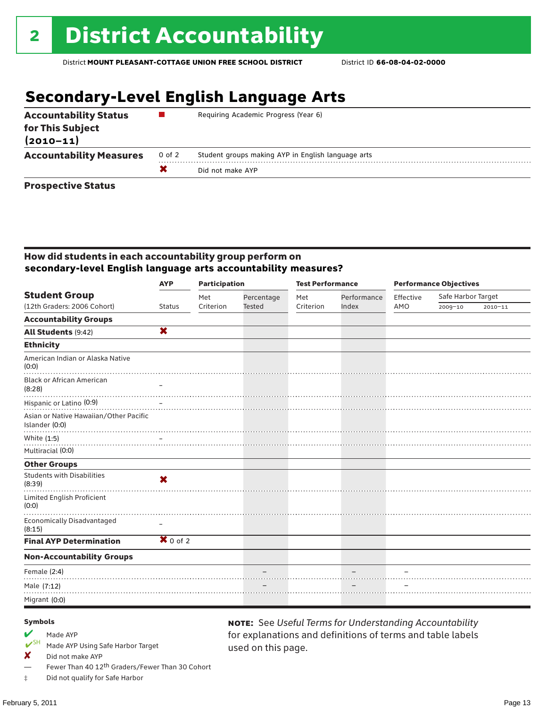### **Secondary-Level English Language Arts**

| <b>Accountability Status</b><br>for This Subject<br>$(2010 - 11)$ |        | Requiring Academic Progress (Year 6)               |  |  |  |
|-------------------------------------------------------------------|--------|----------------------------------------------------|--|--|--|
| <b>Accountability Measures</b>                                    | 0 of 2 | Student groups making AYP in English language arts |  |  |  |
|                                                                   |        | Did not make AYP                                   |  |  |  |
| Bussies office Blattic                                            |        |                                                    |  |  |  |

#### Prospective Status

#### How did students in each accountability group perform on **secondary-level English language arts accountability measures?**

|                                                          | <b>AYP</b>                | <b>Participation</b> |               | <b>Test Performance</b> |             |           | <b>Performance Objectives</b> |             |
|----------------------------------------------------------|---------------------------|----------------------|---------------|-------------------------|-------------|-----------|-------------------------------|-------------|
| <b>Student Group</b>                                     |                           | Met                  | Percentage    | Met                     | Performance | Effective | Safe Harbor Target            |             |
| (12th Graders: 2006 Cohort)                              | <b>Status</b>             | Criterion            | <b>Tested</b> | Criterion               | Index       | AMO       | 2009-10                       | $2010 - 11$ |
| <b>Accountability Groups</b>                             |                           |                      |               |                         |             |           |                               |             |
| All Students (9:42)                                      | X                         |                      |               |                         |             |           |                               |             |
| <b>Ethnicity</b>                                         |                           |                      |               |                         |             |           |                               |             |
| American Indian or Alaska Native<br>(0:0)                |                           |                      |               |                         |             |           |                               |             |
| <b>Black or African American</b><br>(8:28)               |                           |                      |               |                         |             |           |                               |             |
| Hispanic or Latino (0:9)                                 |                           |                      |               |                         |             |           |                               |             |
| Asian or Native Hawaiian/Other Pacific<br>Islander (0:0) |                           |                      |               |                         |             |           |                               |             |
| White (1:5)                                              |                           |                      |               |                         |             |           |                               |             |
| Multiracial (0:0)                                        |                           |                      |               |                         |             |           |                               |             |
| <b>Other Groups</b>                                      |                           |                      |               |                         |             |           |                               |             |
| <b>Students with Disabilities</b><br>(8:39)              | $\boldsymbol{\mathsf{x}}$ |                      |               |                         |             |           |                               |             |
| Limited English Proficient<br>(0:0)                      |                           |                      |               |                         |             |           |                               |             |
| <b>Economically Disadvantaged</b><br>(8:15)              |                           |                      |               |                         |             |           |                               |             |
| <b>Final AYP Determination</b>                           | $X$ 0 of 2                |                      |               |                         |             |           |                               |             |
| <b>Non-Accountability Groups</b>                         |                           |                      |               |                         |             |           |                               |             |
| Female (2:4)                                             |                           |                      |               |                         |             |           |                               |             |
| Male (7:12)                                              |                           |                      |               |                         |             |           |                               |             |
| Migrant (0:0)                                            |                           |                      |               |                         |             |           |                               |             |

used on this page.

note: See *Useful Terms for Understanding Accountability*  for explanations and definitions of terms and table labels

#### Symbols

- Made AYP<br>
<del>V</del>SH Made AVP
- Made AYP Using Safe Harbor Target
- $\boldsymbol{X}$  Did not make AYP
- Fewer Than 40 12<sup>th</sup> Graders/Fewer Than 30 Cohort
- ‡ Did not qualify for Safe Harbor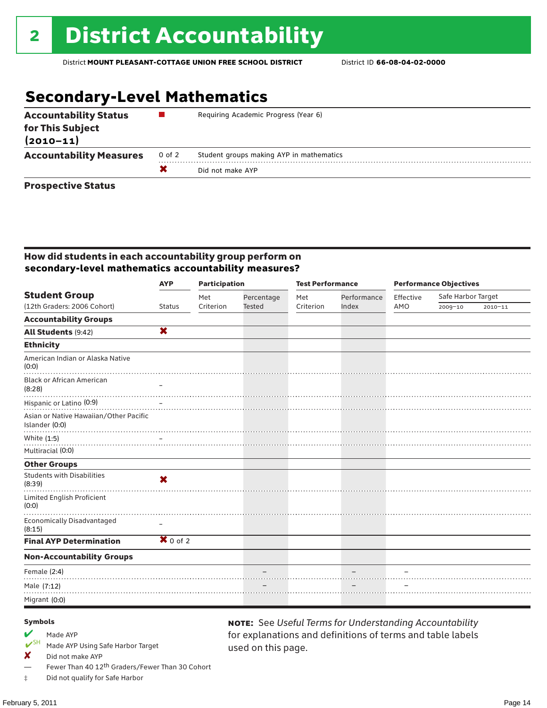## **Secondary-Level Mathematics**

| <b>Accountability Status</b><br>for This Subject<br>$(2010 - 11)$ |        | Requiring Academic Progress (Year 6)     |
|-------------------------------------------------------------------|--------|------------------------------------------|
| <b>Accountability Measures</b>                                    | 0 of 2 | Student groups making AYP in mathematics |
|                                                                   |        | Did not make AYP                         |
|                                                                   |        |                                          |

#### Prospective Status

#### How did students in each accountability group perform on **secondary-level mathematics accountability measures?**

|                                                          | <b>AYP</b>                     | <b>Participation</b> |            | <b>Test Performance</b> |             | <b>Performance Objectives</b> |                    |             |
|----------------------------------------------------------|--------------------------------|----------------------|------------|-------------------------|-------------|-------------------------------|--------------------|-------------|
| <b>Student Group</b>                                     |                                | Met                  | Percentage | Met                     | Performance | Effective                     | Safe Harbor Target |             |
| (12th Graders: 2006 Cohort)                              | <b>Status</b>                  | Criterion            | Tested     | Criterion               | Index       | AMO                           | 2009-10            | $2010 - 11$ |
| <b>Accountability Groups</b>                             |                                |                      |            |                         |             |                               |                    |             |
| All Students (9:42)                                      | $\overline{\mathbf{x}}$        |                      |            |                         |             |                               |                    |             |
| <b>Ethnicity</b>                                         |                                |                      |            |                         |             |                               |                    |             |
| American Indian or Alaska Native<br>(0:0)                |                                |                      |            |                         |             |                               |                    |             |
| <b>Black or African American</b><br>(8:28)               |                                |                      |            |                         |             |                               |                    |             |
| Hispanic or Latino (0:9)                                 |                                |                      |            |                         |             |                               |                    |             |
| Asian or Native Hawaiian/Other Pacific<br>Islander (0:0) |                                |                      |            |                         |             |                               |                    |             |
| White (1:5)                                              |                                |                      |            |                         |             |                               |                    |             |
| Multiracial (0:0)                                        |                                |                      |            |                         |             |                               |                    |             |
| <b>Other Groups</b>                                      |                                |                      |            |                         |             |                               |                    |             |
| <b>Students with Disabilities</b><br>(8:39)              | $\boldsymbol{\mathsf{x}}$      |                      |            |                         |             |                               |                    |             |
| Limited English Proficient<br>(0:0)                      |                                |                      |            |                         |             |                               |                    |             |
| <b>Economically Disadvantaged</b><br>(8:15)              |                                |                      |            |                         |             |                               |                    |             |
| <b>Final AYP Determination</b>                           | $\overline{\mathbf{X}}$ 0 of 2 |                      |            |                         |             |                               |                    |             |
| <b>Non-Accountability Groups</b>                         |                                |                      |            |                         |             |                               |                    |             |
| Female (2:4)                                             |                                |                      |            |                         |             |                               |                    |             |
| Male (7:12)                                              |                                |                      |            |                         |             |                               |                    |             |
| Migrant (0:0)                                            |                                |                      |            |                         |             |                               |                    |             |

used on this page.

note: See *Useful Terms for Understanding Accountability*  for explanations and definitions of terms and table labels

#### Symbols

- Made AYP<br>
<del>V</del>SH Made AVP
- Made AYP Using Safe Harbor Target
- $\boldsymbol{X}$  Did not make AYP
- Fewer Than 40 12<sup>th</sup> Graders/Fewer Than 30 Cohort
- ‡ Did not qualify for Safe Harbor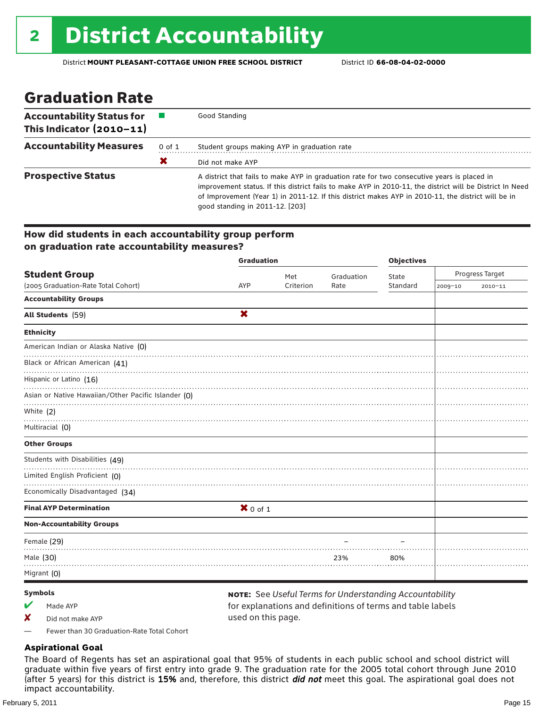### Graduation Rate

| <b>Accountability Status for</b><br>This Indicator (2010-11) |        | Good Standing                                                                                                                                                                                                                                                                                                                                    |
|--------------------------------------------------------------|--------|--------------------------------------------------------------------------------------------------------------------------------------------------------------------------------------------------------------------------------------------------------------------------------------------------------------------------------------------------|
| <b>Accountability Measures</b>                               | 0 of 1 | Student groups making AYP in graduation rate                                                                                                                                                                                                                                                                                                     |
|                                                              | X      | Did not make AYP                                                                                                                                                                                                                                                                                                                                 |
| <b>Prospective Status</b>                                    |        | A district that fails to make AYP in graduation rate for two consecutive years is placed in<br>improvement status. If this district fails to make AYP in 2010-11, the district will be District In Need<br>of Improvement (Year 1) in 2011-12. If this district makes AYP in 2010-11, the district will be in<br>good standing in 2011-12. [203] |

#### How did students in each accountability group perform on graduation rate accountability measures?

|                                                     | <b>Graduation</b> |           |            | <b>Objectives</b> |         |                 |
|-----------------------------------------------------|-------------------|-----------|------------|-------------------|---------|-----------------|
| <b>Student Group</b>                                |                   | Met       | Graduation | State             |         | Progress Target |
| (2005 Graduation-Rate Total Cohort)                 | AYP               | Criterion | Rate       | Standard          | 2009-10 | $2010 - 11$     |
| <b>Accountability Groups</b>                        |                   |           |            |                   |         |                 |
| All Students (59)                                   | X                 |           |            |                   |         |                 |
| <b>Ethnicity</b>                                    |                   |           |            |                   |         |                 |
| American Indian or Alaska Native (0)                |                   |           |            |                   |         |                 |
| Black or African American (41)                      |                   |           |            |                   |         |                 |
| Hispanic or Latino (16)                             |                   |           |            |                   |         |                 |
| Asian or Native Hawaiian/Other Pacific Islander (O) |                   |           |            |                   |         |                 |
| White (2)                                           |                   |           |            |                   |         |                 |
| Multiracial (0)                                     |                   |           |            |                   |         |                 |
| <b>Other Groups</b>                                 |                   |           |            |                   |         |                 |
| Students with Disabilities (49)                     |                   |           |            |                   |         |                 |
| Limited English Proficient (O)                      |                   |           |            |                   |         |                 |
| Economically Disadvantaged (34)                     |                   |           |            |                   |         |                 |
| <b>Final AYP Determination</b>                      | $X$ 0 of 1        |           |            |                   |         |                 |
| <b>Non-Accountability Groups</b>                    |                   |           |            |                   |         |                 |
| Female (29)                                         |                   |           |            |                   |         |                 |
| Male (30)                                           |                   |           | 23%        | 80%               |         |                 |
| Migrant (0)                                         |                   |           |            |                   |         |                 |
|                                                     |                   |           |            |                   |         |                 |

#### Symbols

- $M$  Made AYP
- X Did not make AYP

note: See *Useful Terms for Understanding Accountability*  for explanations and definitions of terms and table labels used on this page.

— Fewer than 30 Graduation-Rate Total Cohort

#### **Aspirational Goal**

The Board of Regents has set an aspirational goal that 95% of students in each public school and school district will graduate within five years of first entry into grade 9. The graduation rate for the 2005 total cohort through June 2010 (after 5 years) for this district is 15% and, therefore, this district *did not* meet this goal. The aspirational goal does not impact accountability.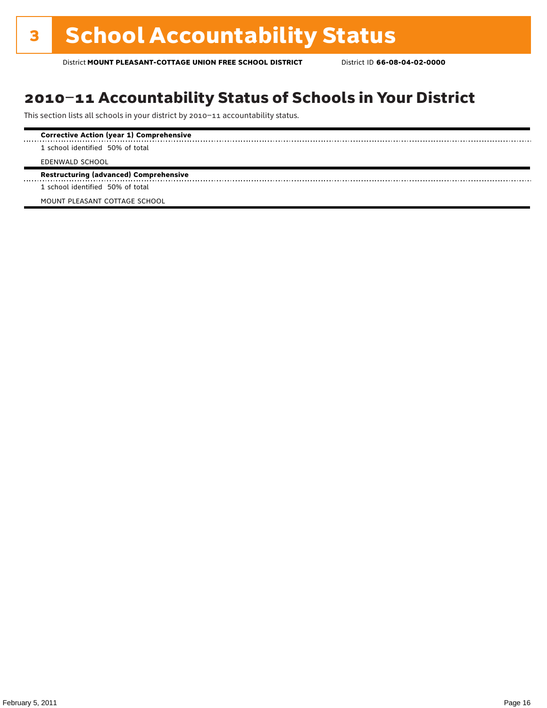### 2010–11 Accountability Status of Schools in Your District

This section lists all schools in your district by 2010–11 accountability status.

| <b>Corrective Action (year 1) Comprehensive</b> |
|-------------------------------------------------|
| 1 school identified 50% of total                |
| EDENWALD SCHOOL                                 |
| <b>Restructuring (advanced) Comprehensive</b>   |
| 1 school identified 50% of total                |

MOUNT PLEASANT COTTAGE SCHOOL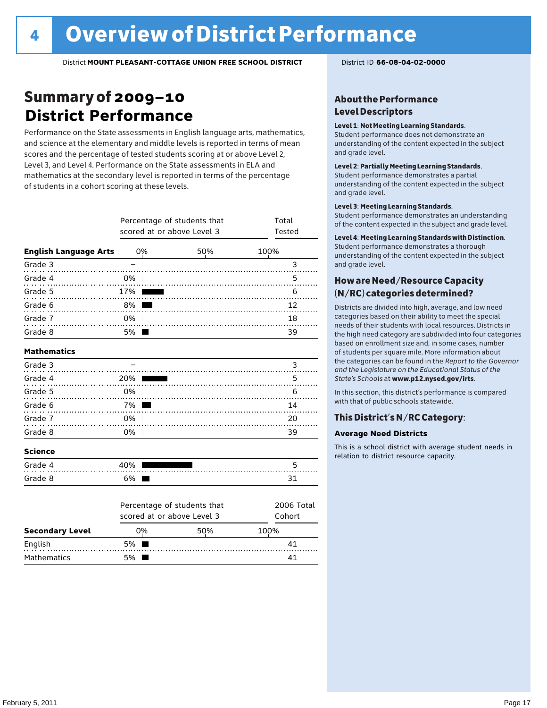### Summary of 2009–10 **District Performance**

Performance on the State assessments in English language arts, mathematics, and science at the elementary and middle levels is reported in terms of mean scores and the percentage of tested students scoring at or above Level 2, Level 3, and Level 4. Performance on the State assessments in ELA and mathematics at the secondary level is reported in terms of the percentage of students in a cohort scoring at these levels.

|                              |      | Percentage of students that<br>scored at or above Level 3 | Total<br>Tested             |              |
|------------------------------|------|-----------------------------------------------------------|-----------------------------|--------------|
| <b>English Language Arts</b> |      | 0%                                                        | 50%                         | 100%         |
| Grade 3                      |      |                                                           |                             | 3            |
| Grade 4<br>.                 | 0%   |                                                           |                             | 5            |
| Grade 5                      | 17%  |                                                           |                             | 6            |
| Grade 6                      | 8%   |                                                           |                             | 12           |
| Grade 7<br>.                 | 0%   |                                                           |                             | 18           |
| Grade 8                      | 5% l |                                                           |                             | 39           |
| <b>Mathematics</b>           |      |                                                           |                             |              |
| Grade 3                      |      |                                                           |                             | 3            |
| Grade 4<br>.                 | 20%  |                                                           |                             | 5            |
| Grade 5<br>.                 | 0%   |                                                           |                             | 6            |
| Grade 6<br>.                 | 7%   |                                                           |                             | 14           |
| Grade 7<br>.                 | 0%   |                                                           |                             | 20           |
| Grade 8                      | 0%   |                                                           |                             | 39           |
| <b>Science</b>               |      |                                                           |                             |              |
| Grade 4                      | 40%  |                                                           |                             | 5            |
| Grade 8                      | 6%   |                                                           |                             | 31           |
|                              |      |                                                           | Dorcontago of students that | $2006$ Total |

|                        |        | <b>FULCIRAGE OF SUBJERTS LITAL</b><br>scored at or above Level 3 |      |  |  |  |  |  |
|------------------------|--------|------------------------------------------------------------------|------|--|--|--|--|--|
| <b>Secondary Level</b> | 0%     | 50%                                                              | 100% |  |  |  |  |  |
| English                | 5% I   |                                                                  | 41   |  |  |  |  |  |
| Mathematics            | $5%$ 1 |                                                                  |      |  |  |  |  |  |

#### About the Performance Level Descriptors

#### Level 1: Not Meeting Learning Standards.

Student performance does not demonstrate an understanding of the content expected in the subject and grade level.

#### Level 2: Partially Meeting Learning Standards.

Student performance demonstrates a partial understanding of the content expected in the subject and grade level.

#### Level 3: Meeting Learning Standards.

Student performance demonstrates an understanding of the content expected in the subject and grade level.

#### Level 4: Meeting Learning Standards with Distinction.

Student performance demonstrates a thorough understanding of the content expected in the subject and grade level.

#### How are Need/Resource Capacity (N/RC) categories determined?

Districts are divided into high, average, and low need categories based on their ability to meet the special needs of their students with local resources. Districts in the high need category are subdivided into four categories based on enrollment size and, in some cases, number of students per square mile. More information about the categories can be found in the *Report to the Governor and the Legislature on the Educational Status of the State's Schools* at www.p12.nysed.gov/irts.

In this section, this district's performance is compared with that of public schools statewide.

#### This District's N/RC Category:

#### **Average Need Districts**

This is a school district with average student needs in relation to district resource capacity.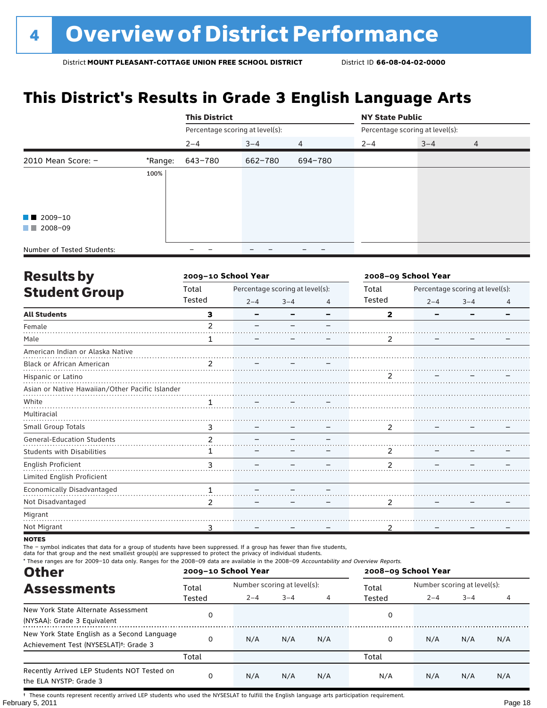### **This District's Results in Grade 3 English Language Arts**

|                            |         | <b>This District</b>            |         |         | <b>NY State Public</b>          |         |   |  |
|----------------------------|---------|---------------------------------|---------|---------|---------------------------------|---------|---|--|
|                            |         | Percentage scoring at level(s): |         |         | Percentage scoring at level(s): |         |   |  |
|                            |         | $2 - 4$                         | $3 - 4$ | 4       | $2 - 4$                         | $3 - 4$ | 4 |  |
| 2010 Mean Score: $-$       | *Range: | 643-780                         | 662-780 | 694-780 |                                 |         |   |  |
|                            | 100%    |                                 |         |         |                                 |         |   |  |
|                            |         |                                 |         |         |                                 |         |   |  |
|                            |         |                                 |         |         |                                 |         |   |  |
| $\blacksquare$ 2009-10     |         |                                 |         |         |                                 |         |   |  |
| $\blacksquare$ 2008-09     |         |                                 |         |         |                                 |         |   |  |
| Number of Tested Students: |         |                                 |         |         |                                 |         |   |  |

| <b>Results by</b>                               |                | 2009-10 School Year |                                 |   | 2008-09 School Year     |         |                                 |   |
|-------------------------------------------------|----------------|---------------------|---------------------------------|---|-------------------------|---------|---------------------------------|---|
| <b>Student Group</b>                            | Total          |                     | Percentage scoring at level(s): |   | Total                   |         | Percentage scoring at level(s): |   |
|                                                 | Tested         | $2 - 4$             | $3 - 4$                         | 4 | Tested                  | $2 - 4$ | $3 - 4$                         | 4 |
| <b>All Students</b>                             | з              |                     |                                 |   | $\overline{\mathbf{2}}$ |         |                                 |   |
| Female                                          | $\mathfrak{p}$ |                     |                                 |   |                         |         |                                 |   |
| Male                                            | 1              |                     |                                 |   | 2                       |         |                                 |   |
| American Indian or Alaska Native                |                |                     |                                 |   |                         |         |                                 |   |
| Black or African American                       | $\overline{2}$ |                     |                                 |   |                         |         |                                 |   |
| Hispanic or Latino                              |                |                     |                                 |   | $\overline{2}$          |         |                                 |   |
| Asian or Native Hawaiian/Other Pacific Islander |                |                     |                                 |   |                         |         |                                 |   |
| White                                           | 1              |                     |                                 |   |                         |         |                                 |   |
| Multiracial                                     |                |                     |                                 |   |                         |         |                                 |   |
| Small Group Totals                              | 3              |                     |                                 |   | 2                       |         |                                 |   |
| <b>General-Education Students</b>               | $\overline{2}$ |                     |                                 |   |                         |         |                                 |   |
| <b>Students with Disabilities</b>               | 1              |                     |                                 |   | 2                       |         |                                 |   |
| English Proficient                              | 3              |                     |                                 |   | $\mathcal{P}$           |         |                                 |   |
| Limited English Proficient                      |                |                     |                                 |   |                         |         |                                 |   |
| Economically Disadvantaged                      | 1              |                     |                                 |   |                         |         |                                 |   |
| Not Disadvantaged                               | 2              |                     |                                 |   | 2                       |         |                                 |   |
| Migrant                                         |                |                     |                                 |   |                         |         |                                 |   |
| Not Migrant                                     | 3              |                     |                                 |   | 2                       |         |                                 |   |

**NOTES** 

The – symbol indicates that data for a group of students have been suppressed. If a group has fewer than five students,

data for that group and the next smallest group(s) are suppressed to protect the privacy of individual students.

| * These ranges are for 2009–10 data only. Ranges for the 2008–09 data are available in the 2008–09 Accountability and Overview Reports.<br><b>Other</b> |        | 2009-10 School Year |                             |     | 2008-09 School Year |                             |         |     |
|---------------------------------------------------------------------------------------------------------------------------------------------------------|--------|---------------------|-----------------------------|-----|---------------------|-----------------------------|---------|-----|
| <b>Assessments</b>                                                                                                                                      | Total  |                     | Number scoring at level(s): |     |                     | Number scoring at level(s): |         |     |
|                                                                                                                                                         | Tested | $2 - 4$             | $3 - 4$                     | 4   | Tested              | $2 - 4$                     | $3 - 4$ | 4   |
| New York State Alternate Assessment<br>(NYSAA): Grade 3 Equivalent                                                                                      | 0      |                     |                             |     | 0                   |                             |         |     |
| New York State English as a Second Language<br>Achievement Test (NYSESLAT) <sup>+</sup> : Grade 3                                                       | 0      | N/A                 | N/A                         | N/A | 0                   | N/A                         | N/A     | N/A |
|                                                                                                                                                         | Total  |                     |                             |     | Total               |                             |         |     |
| Recently Arrived LEP Students NOT Tested on<br>the ELA NYSTP: Grade 3                                                                                   | 0      | N/A                 | N/A                         | N/A | N/A                 | N/A                         | N/A     | N/A |

February 5, 2011 **Page 18** † These counts represent recently arrived LEP students who used the NYSESLAT to fulfill the English language arts participation requirement.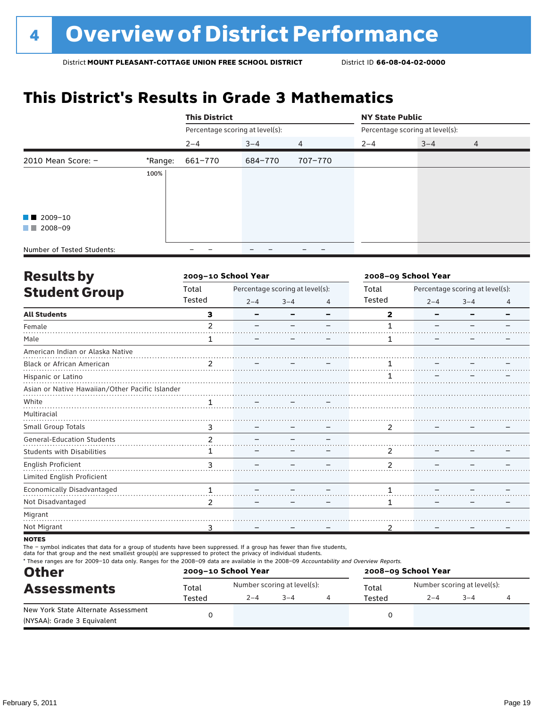### **This District's Results in Grade 3 Mathematics**

|                            |         | <b>This District</b>            |         |         | <b>NY State Public</b> |                                 |   |  |
|----------------------------|---------|---------------------------------|---------|---------|------------------------|---------------------------------|---|--|
|                            |         | Percentage scoring at level(s): |         |         |                        | Percentage scoring at level(s): |   |  |
|                            |         | $2 - 4$                         | $3 - 4$ | 4       | $2 - 4$                | $3 - 4$                         | 4 |  |
| 2010 Mean Score: $-$       | *Range: | 661-770                         | 684-770 | 707-770 |                        |                                 |   |  |
|                            | 100%    |                                 |         |         |                        |                                 |   |  |
|                            |         |                                 |         |         |                        |                                 |   |  |
|                            |         |                                 |         |         |                        |                                 |   |  |
| $\blacksquare$ 2009-10     |         |                                 |         |         |                        |                                 |   |  |
| $\blacksquare$ 2008-09     |         |                                 |         |         |                        |                                 |   |  |
| Number of Tested Students: |         |                                 |         |         |                        |                                 |   |  |

| <b>Results by</b>                               |                | 2009-10 School Year |                                 |   | 2008-09 School Year |         |                                 |   |
|-------------------------------------------------|----------------|---------------------|---------------------------------|---|---------------------|---------|---------------------------------|---|
| <b>Student Group</b>                            | Total          |                     | Percentage scoring at level(s): |   | Total               |         | Percentage scoring at level(s): |   |
|                                                 | Tested         | $2 - 4$             | $3 - 4$                         | 4 | Tested              | $2 - 4$ | $3 - 4$                         | 4 |
| <b>All Students</b>                             | 3              |                     |                                 |   | $\overline{2}$      |         |                                 |   |
| Female                                          | $\mathfrak{p}$ |                     |                                 |   |                     |         |                                 |   |
| Male                                            | 1              |                     |                                 |   | 1                   |         |                                 |   |
| American Indian or Alaska Native                |                |                     |                                 |   |                     |         |                                 |   |
| Black or African American                       | $\mathfrak{p}$ |                     |                                 |   |                     |         |                                 |   |
| Hispanic or Latino                              |                |                     |                                 |   |                     |         |                                 |   |
| Asian or Native Hawaiian/Other Pacific Islander |                |                     |                                 |   |                     |         |                                 |   |
| White                                           |                |                     |                                 |   |                     |         |                                 |   |
| Multiracial                                     |                |                     |                                 |   |                     |         |                                 |   |
| <b>Small Group Totals</b>                       | 3              |                     |                                 |   | $\overline{2}$      |         |                                 |   |
| <b>General-Education Students</b>               | $\overline{2}$ |                     |                                 |   |                     |         |                                 |   |
| <b>Students with Disabilities</b>               | 1              |                     |                                 |   | 2                   |         |                                 |   |
| English Proficient                              | 3              |                     |                                 |   | 2                   |         |                                 |   |
| Limited English Proficient                      |                |                     |                                 |   |                     |         |                                 |   |
| Economically Disadvantaged                      | 1              |                     |                                 |   |                     |         |                                 |   |
| Not Disadvantaged                               | 2              |                     |                                 |   | 1                   |         |                                 |   |
| Migrant                                         |                |                     |                                 |   |                     |         |                                 |   |
| Not Migrant                                     | 3              |                     |                                 |   | 2                   |         |                                 |   |
|                                                 |                |                     |                                 |   |                     |         |                                 |   |

**NOTES** 

The – symbol indicates that data for a group of students have been suppressed. If a group has fewer than five students,

data for that group and the next smallest group(s) are suppressed to protect the privacy of individual students.

\* These ranges are for 2009–10 data only. Ranges for the 2008–09 data are available in the 2008–09 Accountability and Overview Reports.

| <b>Other</b>                                                       |        | 2009-10 School Year |                             | 2008-09 School Year |                             |         |  |  |
|--------------------------------------------------------------------|--------|---------------------|-----------------------------|---------------------|-----------------------------|---------|--|--|
| <b>Assessments</b>                                                 | Total  |                     | Number scoring at level(s): | Total               | Number scoring at level(s): |         |  |  |
|                                                                    | Tested | $2 - 4$             | $3 - 4$                     | Tested              | $2 - 4$                     | $3 - 4$ |  |  |
| New York State Alternate Assessment<br>(NYSAA): Grade 3 Equivalent |        |                     |                             |                     |                             |         |  |  |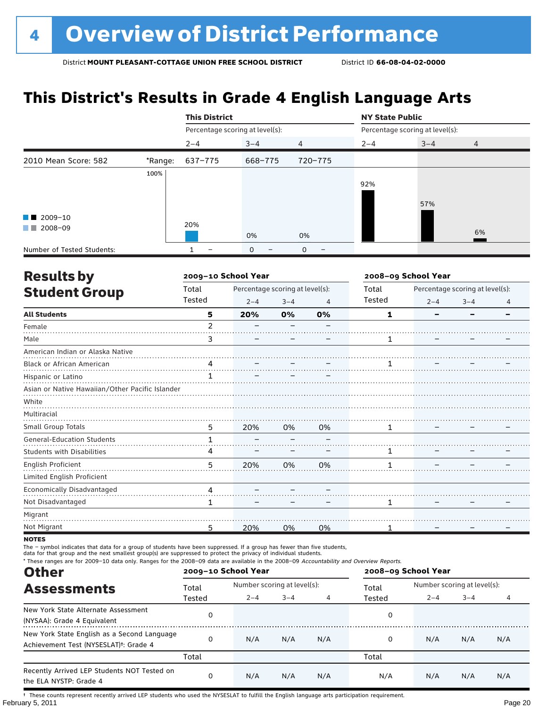### **This District's Results in Grade 4 English Language Arts**

|                            |         | <b>This District</b> |                                 |                | <b>NY State Public</b> |                                 |                |
|----------------------------|---------|----------------------|---------------------------------|----------------|------------------------|---------------------------------|----------------|
|                            |         |                      | Percentage scoring at level(s): |                |                        | Percentage scoring at level(s): |                |
|                            |         | $2 - 4$              | $3 - 4$                         | $\overline{4}$ | $2 - 4$                | $3 - 4$                         | $\overline{4}$ |
| 2010 Mean Score: 582       | *Range: | 637-775              | 668-775                         | 720-775        |                        |                                 |                |
|                            | 100%    |                      |                                 |                |                        |                                 |                |
|                            |         |                      |                                 |                | 92%                    |                                 |                |
|                            |         |                      |                                 |                |                        | 57%                             |                |
| $\blacksquare$ 2009-10     |         |                      |                                 |                |                        |                                 |                |
| 2008-09<br><b>The Co</b>   |         | 20%                  |                                 |                |                        |                                 |                |
|                            |         |                      | 0%                              | 0%             |                        |                                 | 6%             |
| Number of Tested Students: |         |                      | $\mathbf 0$                     | 0              |                        |                                 |                |

| <b>Results by</b>                               |                | 2009-10 School Year             |         |    | 2008-09 School Year |         |                                 |   |
|-------------------------------------------------|----------------|---------------------------------|---------|----|---------------------|---------|---------------------------------|---|
| <b>Student Group</b>                            | Total          | Percentage scoring at level(s): |         |    | Total               |         | Percentage scoring at level(s): |   |
|                                                 | Tested         | $2 - 4$                         | $3 - 4$ | 4  | Tested              | $2 - 4$ | $3 - 4$                         | 4 |
| <b>All Students</b>                             | 5              | 20%                             | 0%      | 0% | 1                   |         |                                 |   |
| Female                                          | $\overline{2}$ |                                 |         |    |                     |         |                                 |   |
| Male                                            | 3              |                                 |         |    |                     |         |                                 |   |
| American Indian or Alaska Native                |                |                                 |         |    |                     |         |                                 |   |
| Black or African American                       | 4              |                                 |         |    |                     |         |                                 |   |
| Hispanic or Latino                              |                |                                 |         |    |                     |         |                                 |   |
| Asian or Native Hawaiian/Other Pacific Islander |                |                                 |         |    |                     |         |                                 |   |
| White                                           |                |                                 |         |    |                     |         |                                 |   |
| Multiracial                                     |                |                                 |         |    |                     |         |                                 |   |
| Small Group Totals                              | 5              | 20%                             | 0%      | 0% | 1                   |         |                                 |   |
| <b>General-Education Students</b>               | 1              |                                 |         |    |                     |         |                                 |   |
| <b>Students with Disabilities</b>               | 4              |                                 |         |    |                     |         |                                 |   |
| English Proficient                              | 5              | 20%                             | 0%      | 0% |                     |         |                                 |   |
| Limited English Proficient                      |                |                                 |         |    |                     |         |                                 |   |
| Economically Disadvantaged                      | 4              |                                 |         |    |                     |         |                                 |   |
| Not Disadvantaged                               | 1              |                                 |         |    | 1                   |         |                                 |   |
| Migrant                                         |                |                                 |         |    |                     |         |                                 |   |
| Not Migrant                                     | 5              | 20%                             | 0%      | 0% |                     |         |                                 |   |

**NOTES** 

The – symbol indicates that data for a group of students have been suppressed. If a group has fewer than five students,

data for that group and the next smallest group(s) are suppressed to protect the privacy of individual students.

\* These ranges are for 2009–10 data only. Ranges for the 2008–09 data are available in the 2008–09 Accountability and Overview Reports.

| <b>Other</b>                                                                                      |          | 2009-10 School Year |                             |     | 2008-09 School Year |                             |         |     |  |
|---------------------------------------------------------------------------------------------------|----------|---------------------|-----------------------------|-----|---------------------|-----------------------------|---------|-----|--|
| <b>Assessments</b>                                                                                | Total    |                     | Number scoring at level(s): |     |                     | Number scoring at level(s): |         |     |  |
|                                                                                                   | Tested   | $2 - 4$             | $3 - 4$                     | 4   | Tested              | $2 - 4$                     | $3 - 4$ | 4   |  |
| New York State Alternate Assessment<br>(NYSAA): Grade 4 Equivalent                                | 0        |                     |                             |     | 0                   |                             |         |     |  |
| New York State English as a Second Language<br>Achievement Test (NYSESLAT) <sup>†</sup> : Grade 4 | $\Omega$ | N/A                 | N/A                         | N/A | 0                   | N/A                         | N/A     | N/A |  |
|                                                                                                   | Total    |                     |                             |     | Total               |                             |         |     |  |
| Recently Arrived LEP Students NOT Tested on<br>the ELA NYSTP: Grade 4                             | 0        | N/A                 | N/A                         | N/A | N/A                 | N/A                         | N/A     | N/A |  |

February 5, 2011 **Page 20** † These counts represent recently arrived LEP students who used the NYSESLAT to fulfill the English language arts participation requirement.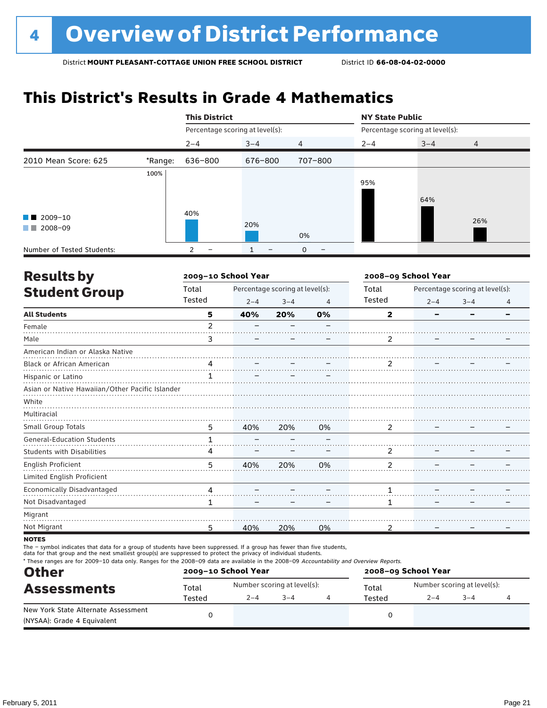### **This District's Results in Grade 4 Mathematics**

|                                                       |         | <b>This District</b>            |                   |                | <b>NY State Public</b> |                                 |     |
|-------------------------------------------------------|---------|---------------------------------|-------------------|----------------|------------------------|---------------------------------|-----|
|                                                       |         | Percentage scoring at level(s): |                   |                |                        | Percentage scoring at level(s): |     |
|                                                       |         | $2 - 4$                         | $3 - 4$           | $\overline{4}$ | $2 - 4$                | $3 - 4$                         | 4   |
| 2010 Mean Score: 625                                  | *Range: | 636-800                         | 676-800           | 707-800        |                        |                                 |     |
| $\blacksquare$ 2009-10<br>2008-09<br><b>The State</b> | 100%    | 40%                             | 20%               | 0%             | 95%                    | 64%                             | 26% |
| Number of Tested Students:                            |         | -                               | $\qquad \qquad -$ | 0              |                        |                                 |     |

| <b>Results by</b>                               | 2009-10 School Year |         |                                 |                | 2008-09 School Year |         |                                 |   |
|-------------------------------------------------|---------------------|---------|---------------------------------|----------------|---------------------|---------|---------------------------------|---|
| <b>Student Group</b>                            | Total               |         | Percentage scoring at level(s): |                | Total               |         | Percentage scoring at level(s): |   |
|                                                 | Tested              | $2 - 4$ | $3 - 4$                         | $\overline{4}$ | Tested              | $2 - 4$ | $3 - 4$                         | 4 |
| <b>All Students</b>                             | 5                   | 40%     | 20%                             | 0%             | $\mathbf{2}$        |         |                                 |   |
| Female                                          | $\overline{2}$      |         |                                 |                |                     |         |                                 |   |
| Male                                            | 3                   |         |                                 |                | 2                   |         |                                 |   |
| American Indian or Alaska Native                |                     |         |                                 |                |                     |         |                                 |   |
| Black or African American                       | 4                   |         |                                 |                | 2                   |         |                                 |   |
| Hispanic or Latino                              |                     |         |                                 |                |                     |         |                                 |   |
| Asian or Native Hawaiian/Other Pacific Islander |                     |         |                                 |                |                     |         |                                 |   |
| White                                           |                     |         |                                 |                |                     |         |                                 |   |
| Multiracial                                     |                     |         |                                 |                |                     |         |                                 |   |
| Small Group Totals                              | 5                   | 40%     | 20%                             | 0%             | 2                   |         |                                 |   |
| <b>General-Education Students</b>               | $\mathbf{1}$        |         |                                 |                |                     |         |                                 |   |
| <b>Students with Disabilities</b>               | 4                   |         |                                 |                | 2                   |         |                                 |   |
| English Proficient                              | 5                   | 40%     | 20%                             | 0%             | $\mathfrak{p}$      |         |                                 |   |
| Limited English Proficient                      |                     |         |                                 |                |                     |         |                                 |   |
| Economically Disadvantaged                      | 4                   |         |                                 |                | 1                   |         |                                 |   |
| Not Disadvantaged                               | 1                   |         |                                 |                | 1                   |         |                                 |   |
| Migrant                                         |                     |         |                                 |                |                     |         |                                 |   |
| Not Migrant                                     | 5                   | 40%     | 20%                             | 0%             | 2                   |         |                                 |   |

**NOTES** 

The – symbol indicates that data for a group of students have been suppressed. If a group has fewer than five students,

data for that group and the next smallest group(s) are suppressed to protect the privacy of individual students.

\* These ranges are for 2009–10 data only. Ranges for the 2008–09 data are available in the 2008–09 Accountability and Overview Reports.

| <b>Other</b>                                                       |        | 2009-10 School Year         |         | 2008-09 School Year |                             |         |  |  |
|--------------------------------------------------------------------|--------|-----------------------------|---------|---------------------|-----------------------------|---------|--|--|
| <b>Assessments</b>                                                 | Total  | Number scoring at level(s): |         | Total               | Number scoring at level(s): |         |  |  |
|                                                                    | Tested | $2 - 4$                     | $3 - 4$ | Tested              | $2 - 4$                     | $3 - 4$ |  |  |
| New York State Alternate Assessment<br>(NYSAA): Grade 4 Equivalent |        |                             |         |                     |                             |         |  |  |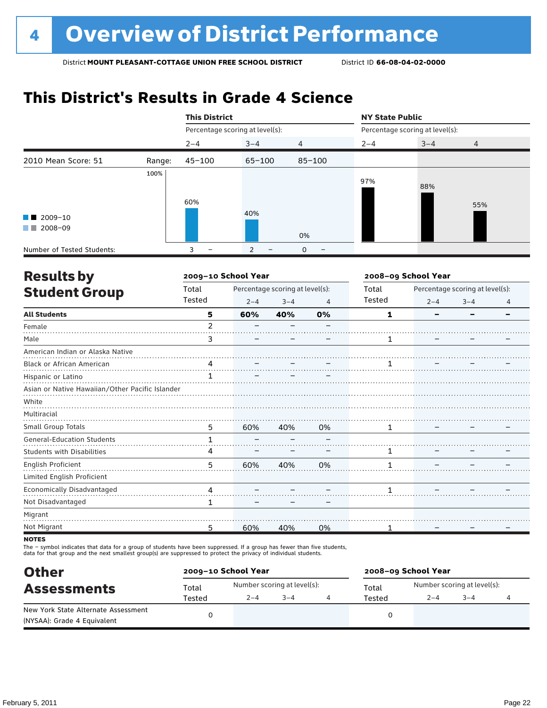### **This District's Results in Grade 4 Science**

|                                             |        | <b>This District</b> |                                 |                | <b>NY State Public</b>          |         |                |  |
|---------------------------------------------|--------|----------------------|---------------------------------|----------------|---------------------------------|---------|----------------|--|
|                                             |        |                      | Percentage scoring at level(s): |                | Percentage scoring at level(s): |         |                |  |
|                                             |        | $2 - 4$              | $3 - 4$                         | $\overline{4}$ | $2 - 4$                         | $3 - 4$ | $\overline{4}$ |  |
| 2010 Mean Score: 51                         | Range: | $45 - 100$           | $65 - 100$                      | $85 - 100$     |                                 |         |                |  |
| $\blacksquare$ 2009-10<br>2008-09<br>a sa T | 100%   | 60%                  | 40%                             | 0%             | 97%                             | 88%     | 55%            |  |
| Number of Tested Students:                  |        | 3                    | 2                               | $\mathbf 0$    |                                 |         |                |  |

| <b>Results by</b>                               |                | 2009-10 School Year |                                 |    | 2008-09 School Year |         |                                 |   |
|-------------------------------------------------|----------------|---------------------|---------------------------------|----|---------------------|---------|---------------------------------|---|
| <b>Student Group</b>                            | Total          |                     | Percentage scoring at level(s): |    | Total               |         | Percentage scoring at level(s): |   |
|                                                 | Tested         | $2 - 4$             | $3 - 4$                         | 4  | Tested              | $2 - 4$ | $3 - 4$                         | 4 |
| <b>All Students</b>                             | 5              | 60%                 | 40%                             | 0% | 1                   |         |                                 |   |
| Female                                          | $\overline{2}$ |                     |                                 |    |                     |         |                                 |   |
| Male                                            | 3              |                     |                                 |    | 1                   |         |                                 |   |
| American Indian or Alaska Native                |                |                     |                                 |    |                     |         |                                 |   |
| Black or African American                       | 4              |                     |                                 |    |                     |         |                                 |   |
| Hispanic or Latino                              |                |                     |                                 |    |                     |         |                                 |   |
| Asian or Native Hawaiian/Other Pacific Islander |                |                     |                                 |    |                     |         |                                 |   |
| White                                           |                |                     |                                 |    |                     |         |                                 |   |
| Multiracial                                     |                |                     |                                 |    |                     |         |                                 |   |
| Small Group Totals                              | 5              | 60%                 | 40%                             | 0% | 1                   |         |                                 |   |
| <b>General-Education Students</b>               | 1              |                     |                                 |    |                     |         |                                 |   |
| <b>Students with Disabilities</b>               | 4              |                     |                                 |    |                     |         |                                 |   |
| English Proficient                              | 5              | 60%                 | 40%                             | 0% | 1                   |         |                                 |   |
| Limited English Proficient                      |                |                     |                                 |    |                     |         |                                 |   |
| Economically Disadvantaged                      | 4              |                     |                                 |    | 1                   |         |                                 |   |
| Not Disadvantaged                               | 1              |                     |                                 |    |                     |         |                                 |   |
| Migrant                                         |                |                     |                                 |    |                     |         |                                 |   |
| Not Migrant                                     | 5              | 60%                 | 40%                             | 0% |                     |         |                                 |   |
|                                                 |                |                     |                                 |    |                     |         |                                 |   |

**NOTES** 

The – symbol indicates that data for a group of students have been suppressed. If a group has fewer than five students,<br>data for that group and the next smallest group(s) are suppressed to protect the privacy of individual

| <b>Other</b>                        |        | 2009-10 School Year |                             | 2008-09 School Year |                             |        |  |  |
|-------------------------------------|--------|---------------------|-----------------------------|---------------------|-----------------------------|--------|--|--|
| <b>Assessments</b>                  | Total  |                     | Number scoring at level(s): | Total               | Number scoring at level(s): |        |  |  |
|                                     | Tested | $2 - 4$             | $3 - 4$                     | Tested              | $2 - 4$                     | $-3-4$ |  |  |
| New York State Alternate Assessment |        |                     |                             |                     |                             |        |  |  |
| (NYSAA): Grade 4 Equivalent         |        |                     |                             |                     |                             |        |  |  |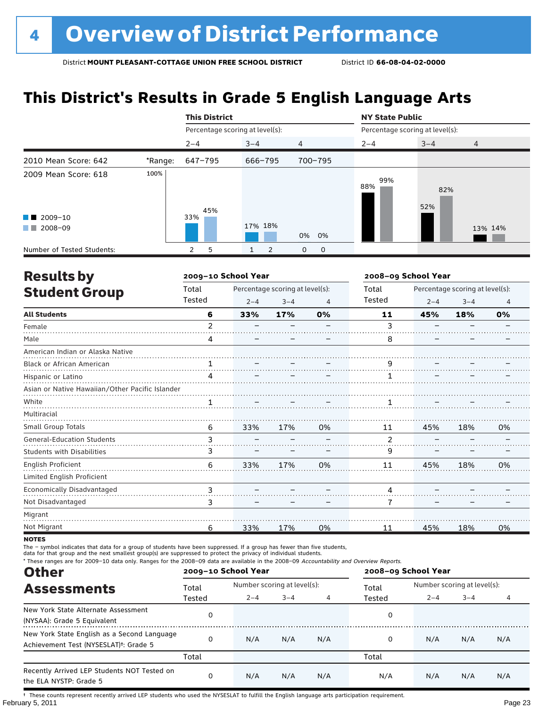# **This District's Results in Grade 5 English Language Arts**

|                                                  |         | <b>This District</b>            |         |                | <b>NY State Public</b>          |            |                |  |
|--------------------------------------------------|---------|---------------------------------|---------|----------------|---------------------------------|------------|----------------|--|
|                                                  |         | Percentage scoring at level(s): |         |                | Percentage scoring at level(s): |            |                |  |
|                                                  |         | $2 - 4$                         | $3 - 4$ | $\overline{4}$ | $2 - 4$                         | $3 - 4$    | $\overline{4}$ |  |
| 2010 Mean Score: 642                             | *Range: | 647-795                         | 666-795 | 700-795        |                                 |            |                |  |
| 2009 Mean Score: 618                             | 100%    | 45%                             |         |                | 99%<br>88%                      | 82%<br>52% |                |  |
| $\blacksquare$ 2009-10<br>2008-09<br>a kacamatan |         | 33%                             | 17% 18% | 0% 0%          |                                 |            | 13% 14%        |  |
| Number of Tested Students:                       |         | 5<br>2                          | 2       | 0<br>0         |                                 |            |                |  |

| <b>Results by</b>                               |               | 2009-10 School Year |                                 |    | 2008-09 School Year |         |                                 |                |
|-------------------------------------------------|---------------|---------------------|---------------------------------|----|---------------------|---------|---------------------------------|----------------|
| <b>Student Group</b>                            | Total         |                     | Percentage scoring at level(s): |    | Total               |         | Percentage scoring at level(s): |                |
|                                                 | Tested        | $2 - 4$             | $3 - 4$                         | 4  | Tested              | $2 - 4$ | $3 - 4$                         | $\overline{4}$ |
| <b>All Students</b>                             | 6             | 33%                 | 17%                             | 0% | 11                  | 45%     | 18%                             | 0%             |
| Female                                          | $\mathcal{P}$ |                     |                                 |    | 3                   |         |                                 |                |
| Male                                            | 4             |                     |                                 |    | 8                   |         |                                 |                |
| American Indian or Alaska Native                |               |                     |                                 |    |                     |         |                                 |                |
| Black or African American                       | 1             |                     |                                 |    | 9                   |         |                                 |                |
| Hispanic or Latino                              | 4             |                     |                                 |    |                     |         |                                 |                |
| Asian or Native Hawaiian/Other Pacific Islander |               |                     |                                 |    |                     |         |                                 |                |
| White                                           | 1             |                     |                                 |    |                     |         |                                 |                |
| Multiracial                                     |               |                     |                                 |    |                     |         |                                 |                |
| Small Group Totals                              | 6             | 33%                 | 17%                             | 0% | 11                  | 45%     | 18%                             | 0%             |
| <b>General-Education Students</b>               | 3             |                     |                                 |    | 2                   |         |                                 |                |
| <b>Students with Disabilities</b>               | 3             |                     |                                 |    | 9                   |         |                                 |                |
| English Proficient                              | 6             | 33%                 | 17%                             | 0% | 11                  | 45%     | 18%                             | 0%             |
| Limited English Proficient                      |               |                     |                                 |    |                     |         |                                 |                |
| Economically Disadvantaged                      | 3             |                     |                                 |    | 4                   |         |                                 |                |
| Not Disadvantaged                               | 3             |                     |                                 |    | 7                   |         |                                 |                |
| Migrant                                         |               |                     |                                 |    |                     |         |                                 |                |
| Not Migrant                                     | 6             | 33%                 | 17%                             | 0% | 11                  | 45%     | 18%                             | 0%             |

**NOTES** 

The – symbol indicates that data for a group of students have been suppressed. If a group has fewer than five students,

data for that group and the next smallest group(s) are suppressed to protect the privacy of individual students.

\* These ranges are for 2009–10 data only. Ranges for the 2008–09 data are available in the 2008–09 Accountability and Overview Reports.

| <b>Other</b>                                                                                      |        | 2009-10 School Year |                             |     | 2008-09 School Year |                             |         |     |
|---------------------------------------------------------------------------------------------------|--------|---------------------|-----------------------------|-----|---------------------|-----------------------------|---------|-----|
| <b>Assessments</b>                                                                                | Total  |                     | Number scoring at level(s): |     |                     | Number scoring at level(s): |         |     |
|                                                                                                   | Tested | $2 - 4$             | $3 - 4$                     | 4   | Tested              | $2 - 4$                     | $3 - 4$ | 4   |
| New York State Alternate Assessment<br>(NYSAA): Grade 5 Equivalent                                |        |                     |                             |     | 0                   |                             |         |     |
| New York State English as a Second Language<br>Achievement Test (NYSESLAT) <sup>+</sup> : Grade 5 |        | N/A                 | N/A                         | N/A | 0                   | N/A                         | N/A     | N/A |
|                                                                                                   | Total  |                     |                             |     | Total               |                             |         |     |
| Recently Arrived LEP Students NOT Tested on<br>the ELA NYSTP: Grade 5                             |        | N/A                 | N/A                         | N/A | N/A                 | N/A                         | N/A     | N/A |

February 5, 2011 Page 23 † These counts represent recently arrived LEP students who used the NYSESLAT to fulfill the English language arts participation requirement.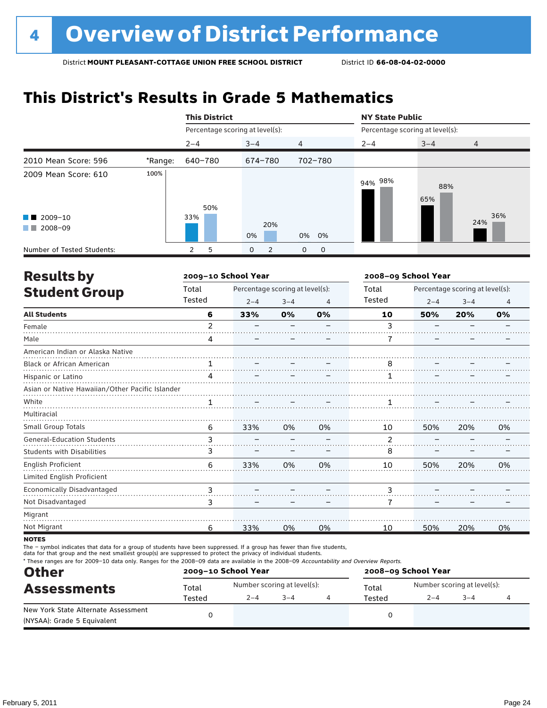### **This District's Results in Grade 5 Mathematics**

|                                                       |         | <b>This District</b>            |                               |                     | <b>NY State Public</b>          |            |                |  |
|-------------------------------------------------------|---------|---------------------------------|-------------------------------|---------------------|---------------------------------|------------|----------------|--|
|                                                       |         | Percentage scoring at level(s): |                               |                     | Percentage scoring at level(s): |            |                |  |
|                                                       |         | $2 - 4$                         | $3 - 4$                       | $\overline{4}$      | $2 - 4$                         | $3 - 4$    | $\overline{4}$ |  |
| 2010 Mean Score: 596                                  | *Range: | 640-780                         | 674-780                       | 702-780             |                                 |            |                |  |
| 2009 Mean Score: 610                                  | 100%    | 50%                             |                               |                     | 94% 98%                         | 88%<br>65% |                |  |
| $\blacksquare$ 2009-10<br>2008-09<br><b>The State</b> |         | 33%                             | 20%<br>0%                     | 0%<br>0%            |                                 |            | 36%<br>24%     |  |
| Number of Tested Students:                            |         | 5<br>2                          | $\mathbf 0$<br>$\overline{2}$ | 0<br>$\overline{0}$ |                                 |            |                |  |

| <b>Results by</b>                               |                | 2009-10 School Year             |         |    | 2008-09 School Year |         |                                 |    |
|-------------------------------------------------|----------------|---------------------------------|---------|----|---------------------|---------|---------------------------------|----|
| <b>Student Group</b>                            | Total          | Percentage scoring at level(s): |         |    | Total               |         | Percentage scoring at level(s): |    |
|                                                 | Tested         | $2 - 4$                         | $3 - 4$ | 4  | <b>Tested</b>       | $2 - 4$ | $3 - 4$                         | 4  |
| <b>All Students</b>                             | 6              | 33%                             | 0%      | 0% | 10                  | 50%     | 20%                             | 0% |
| Female                                          | $\overline{2}$ |                                 |         |    | 3                   |         |                                 |    |
| Male                                            | 4              |                                 |         |    |                     |         |                                 |    |
| American Indian or Alaska Native                |                |                                 |         |    |                     |         |                                 |    |
| Black or African American                       | 1              |                                 |         |    | 8                   |         |                                 |    |
| Hispanic or Latino                              | 4              |                                 |         |    |                     |         |                                 |    |
| Asian or Native Hawaiian/Other Pacific Islander |                |                                 |         |    |                     |         |                                 |    |
| White                                           |                |                                 |         |    |                     |         |                                 |    |
| Multiracial                                     |                |                                 |         |    |                     |         |                                 |    |
| Small Group Totals                              | 6              | 33%                             | 0%      | 0% | 10                  | 50%     | 20%                             | 0% |
| <b>General-Education Students</b>               | 3              |                                 |         |    | 2                   |         |                                 |    |
| <b>Students with Disabilities</b>               | 3              |                                 |         |    | 8                   |         |                                 |    |
| English Proficient                              | 6              | 33%                             | 0%      | 0% | 10                  | 50%     | 20%                             | 0% |
| Limited English Proficient                      |                |                                 |         |    |                     |         |                                 |    |
| Economically Disadvantaged                      | 3              |                                 |         |    | 3                   |         |                                 |    |
| Not Disadvantaged                               | 3              |                                 |         |    | 7                   |         |                                 |    |
| Migrant                                         |                |                                 |         |    |                     |         |                                 |    |
| Not Migrant                                     | 6              | 33%                             | 0%      | 0% | 10                  | 50%     | 20%                             | 0% |

**NOTES** 

The – symbol indicates that data for a group of students have been suppressed. If a group has fewer than five students,

data for that group and the next smallest group(s) are suppressed to protect the privacy of individual students.

\* These ranges are for 2009–10 data only. Ranges for the 2008–09 data are available in the 2008–09 Accountability and Overview Reports.

| <b>Other</b>                                                       |        | 2009-10 School Year |                             | 2008-09 School Year |                             |         |  |  |
|--------------------------------------------------------------------|--------|---------------------|-----------------------------|---------------------|-----------------------------|---------|--|--|
| <b>Assessments</b>                                                 | Total  |                     | Number scoring at level(s): | Total               | Number scoring at level(s): |         |  |  |
|                                                                    | Tested | $2 - 4$             | $3 - 4$                     | Tested              | $2 - 4$                     | $3 - 4$ |  |  |
| New York State Alternate Assessment<br>(NYSAA): Grade 5 Equivalent |        |                     |                             |                     |                             |         |  |  |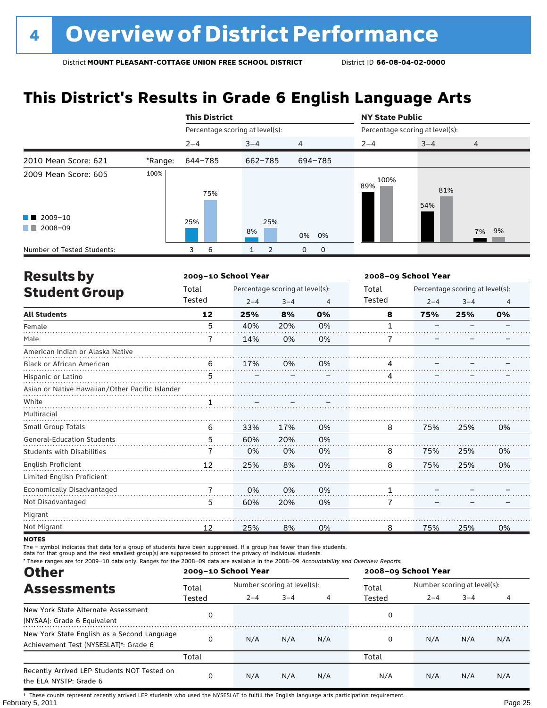# **This District's Results in Grade 6 English Language Arts**

|                                          |         | <b>This District</b>            |           |                | <b>NY State Public</b>          |            |                |
|------------------------------------------|---------|---------------------------------|-----------|----------------|---------------------------------|------------|----------------|
|                                          |         | Percentage scoring at level(s): |           |                | Percentage scoring at level(s): |            |                |
|                                          |         | $2 - 4$                         | $3 - 4$   | $\overline{4}$ | $2 - 4$                         | $3 - 4$    | $\overline{4}$ |
| 2010 Mean Score: 621                     | *Range: | 644-785                         | 662-785   | 694-785        |                                 |            |                |
| 2009 Mean Score: 605                     | 100%    | 75%                             |           |                | 100%<br>89%                     | 81%<br>54% |                |
| $\blacksquare$ 2009-10<br>2008-09<br>. . |         | 25%                             | 25%<br>8% | 0% 0%          |                                 |            | 7% 9%          |
| Number of Tested Students:               |         | 6<br>3                          | 2         | 0<br>0         |                                 |            |                |

| <b>Results by</b>                               |                | 2009-10 School Year |                                 |    | 2008-09 School Year |         |                                 |    |
|-------------------------------------------------|----------------|---------------------|---------------------------------|----|---------------------|---------|---------------------------------|----|
| <b>Student Group</b>                            | Total          |                     | Percentage scoring at level(s): |    | Total               |         | Percentage scoring at level(s): |    |
|                                                 | Tested         | $2 - 4$             | $3 - 4$                         | 4  | Tested              | $2 - 4$ | $3 - 4$                         | 4  |
| <b>All Students</b>                             | 12             | 25%                 | 8%                              | 0% | 8                   | 75%     | 25%                             | 0% |
| Female                                          | 5              | 40%                 | 20%                             | 0% | 1                   |         |                                 |    |
| Male                                            |                | 14%                 | 0%                              | 0% | 7                   |         |                                 |    |
| American Indian or Alaska Native                |                |                     |                                 |    |                     |         |                                 |    |
| Black or African American                       | 6              | 17%                 | 0%                              | 0% | 4                   |         |                                 |    |
| Hispanic or Latino                              | 5              |                     |                                 |    | 4                   |         |                                 |    |
| Asian or Native Hawaiian/Other Pacific Islander |                |                     |                                 |    |                     |         |                                 |    |
| White                                           |                |                     |                                 |    |                     |         |                                 |    |
| Multiracial                                     |                |                     |                                 |    |                     |         |                                 |    |
| <b>Small Group Totals</b>                       | 6              | 33%                 | 17%                             | 0% | 8                   | 75%     | 25%                             | 0% |
| <b>General-Education Students</b>               | 5              | 60%                 | 20%                             | 0% |                     |         |                                 |    |
| <b>Students with Disabilities</b>               | 7              | 0%                  | 0%                              | 0% | 8                   | 75%     | 25%                             | 0% |
| English Proficient                              | 12             | 25%                 | 8%                              | 0% | 8                   | 75%     | 25%                             | 0% |
| Limited English Proficient                      |                |                     |                                 |    |                     |         |                                 |    |
| Economically Disadvantaged                      | $\overline{7}$ | 0%                  | 0%                              | 0% | 1                   |         |                                 |    |
| Not Disadvantaged                               | 5              | 60%                 | 20%                             | 0% | 7                   |         |                                 |    |
| Migrant                                         |                |                     |                                 |    |                     |         |                                 |    |
| Not Migrant                                     | 12             | 25%                 | 8%                              | 0% | 8                   | 75%     | 25%                             | 0% |

**NOTES** 

The – symbol indicates that data for a group of students have been suppressed. If a group has fewer than five students,

data for that group and the next smallest group(s) are suppressed to protect the privacy of individual students.

\* These ranges are for 2009–10 data only. Ranges for the 2008–09 data are available in the 2008–09 Accountability and Overview Reports.

| <b>Other</b>                                                                                      |        | 2009-10 School Year |                             |     | 2008-09 School Year |                             |         |     |
|---------------------------------------------------------------------------------------------------|--------|---------------------|-----------------------------|-----|---------------------|-----------------------------|---------|-----|
| <b>Assessments</b>                                                                                | Total  |                     | Number scoring at level(s): |     |                     | Number scoring at level(s): |         |     |
|                                                                                                   | Tested | $2 - 4$             | $3 - 4$                     | 4   | Tested              | $2 - 4$                     | $3 - 4$ | 4   |
| New York State Alternate Assessment<br>(NYSAA): Grade 6 Equivalent                                |        |                     |                             |     | 0                   |                             |         |     |
| New York State English as a Second Language<br>Achievement Test (NYSESLAT) <sup>t</sup> : Grade 6 |        | N/A                 | N/A                         | N/A | 0                   | N/A                         | N/A     | N/A |
|                                                                                                   | Total  |                     |                             |     | Total               |                             |         |     |
| Recently Arrived LEP Students NOT Tested on<br>the ELA NYSTP: Grade 6                             |        | N/A                 | N/A                         | N/A | N/A                 | N/A                         | N/A     | N/A |

February 5, 2011 Page 25 † These counts represent recently arrived LEP students who used the NYSESLAT to fulfill the English language arts participation requirement.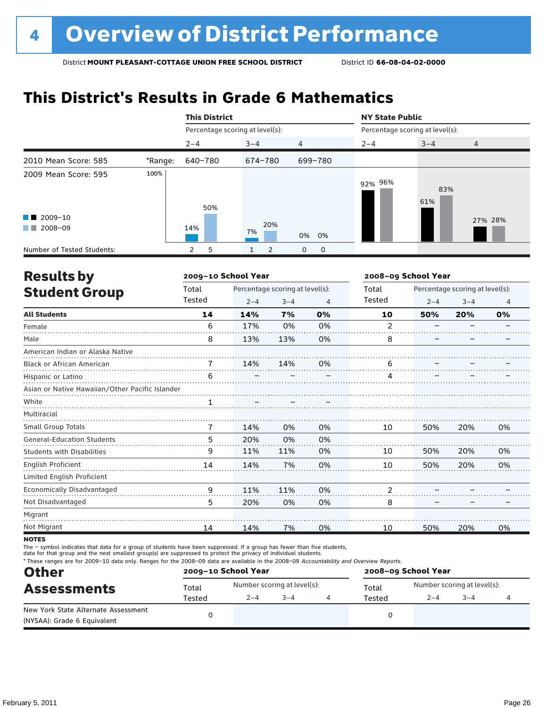### **This District's Results in Grade 6 Mathematics**

|                                                       |         | <b>This District</b>            |           |                | <b>NY State Public</b>          |            |                |  |
|-------------------------------------------------------|---------|---------------------------------|-----------|----------------|---------------------------------|------------|----------------|--|
|                                                       |         | Percentage scoring at level(s): |           |                | Percentage scoring at level(s): |            |                |  |
|                                                       |         | $2 - 4$                         | $3 - 4$   | $\overline{4}$ | $2 - 4$                         | $3 - 4$    | $\overline{4}$ |  |
| 2010 Mean Score: 585                                  | *Range: | 640-780                         | 674-780   | 699-780        |                                 |            |                |  |
| 2009 Mean Score: 595                                  | 100%    | 50%                             |           |                | 92% 96%                         | 83%<br>61% |                |  |
| $\blacksquare$ 2009-10<br>2008-09<br><b>The State</b> |         | 14%                             | 20%<br>7% | 0%<br>0%       |                                 |            | 27% 28%        |  |
| Number of Tested Students:                            |         | 5<br>$\mathbf{2}$               | 2         | 0<br>0         |                                 |            |                |  |

| <b>Results by</b>                               |        | 2009-10 School Year |                                 |    | 2008-09 School Year |         |                                 |                |
|-------------------------------------------------|--------|---------------------|---------------------------------|----|---------------------|---------|---------------------------------|----------------|
| <b>Student Group</b>                            | Total  |                     | Percentage scoring at level(s): |    | Total               |         | Percentage scoring at level(s): |                |
|                                                 | Tested | $2 - 4$             | $3 - 4$                         | 4  | Tested              | $2 - 4$ | $3 - 4$                         | $\overline{4}$ |
| <b>All Students</b>                             | 14     | 14%                 | 7%                              | 0% | 10                  | 50%     | 20%                             | 0%             |
| Female                                          | 6      | 17%                 | 0%                              | 0% | 2                   |         |                                 |                |
| Male                                            | 8      | 13%                 | 13%                             | 0% | 8                   |         |                                 |                |
| American Indian or Alaska Native                |        |                     |                                 |    |                     |         |                                 |                |
| <b>Black or African American</b>                | 7      | 14%                 | 14%                             | 0% | 6                   |         |                                 |                |
| Hispanic or Latino                              | 6      |                     |                                 |    | 4                   |         |                                 |                |
| Asian or Native Hawaiian/Other Pacific Islander |        |                     |                                 |    |                     |         |                                 |                |
| White                                           |        |                     |                                 |    |                     |         |                                 |                |
| Multiracial                                     |        |                     |                                 |    |                     |         |                                 |                |
| <b>Small Group Totals</b>                       | 7      | 14%                 | 0%                              | 0% | 10                  | 50%     | 20%                             | 0%             |
| <b>General-Education Students</b>               | 5      | 20%                 | 0%                              | 0% |                     |         |                                 |                |
| <b>Students with Disabilities</b>               | 9      | 11%                 | 11%                             | 0% | 10                  | 50%     | 20%                             | 0%             |
| English Proficient                              | 14     | 14%                 | 7%                              | 0% | 10                  | 50%     | 20%                             | 0%             |
| Limited English Proficient                      |        |                     |                                 |    |                     |         |                                 |                |
| Economically Disadvantaged                      | 9      | 11%                 | 11%                             | 0% | 2                   |         |                                 |                |
| Not Disadvantaged                               | 5      | 20%                 | 0%                              | 0% | 8                   |         |                                 |                |
| Migrant                                         |        |                     |                                 |    |                     |         |                                 |                |
| Not Migrant                                     | 14     | 14%                 | 7%                              | 0% | 10                  | 50%     | 20%                             | 0%             |
|                                                 |        |                     |                                 |    |                     |         |                                 |                |

**NOTES** 

The – symbol indicates that data for a group of students have been suppressed. If a group has fewer than five students,

data for that group and the next smallest group(s) are suppressed to protect the privacy of individual students.

\* These ranges are for 2009–10 data only. Ranges for the 2008–09 data are available in the 2008–09 Accountability and Overview Reports.

| <b>Other</b>                                                       |        | 2009-10 School Year |                             | 2008-09 School Year |                             |         |  |  |
|--------------------------------------------------------------------|--------|---------------------|-----------------------------|---------------------|-----------------------------|---------|--|--|
| <b>Assessments</b>                                                 | Total  |                     | Number scoring at level(s): | Total               | Number scoring at level(s): |         |  |  |
|                                                                    | Tested | $2 - 4$             | $3 - 4$                     | Tested              | $2 - 4$                     | $3 - 4$ |  |  |
| New York State Alternate Assessment<br>(NYSAA): Grade 6 Equivalent |        |                     |                             |                     |                             |         |  |  |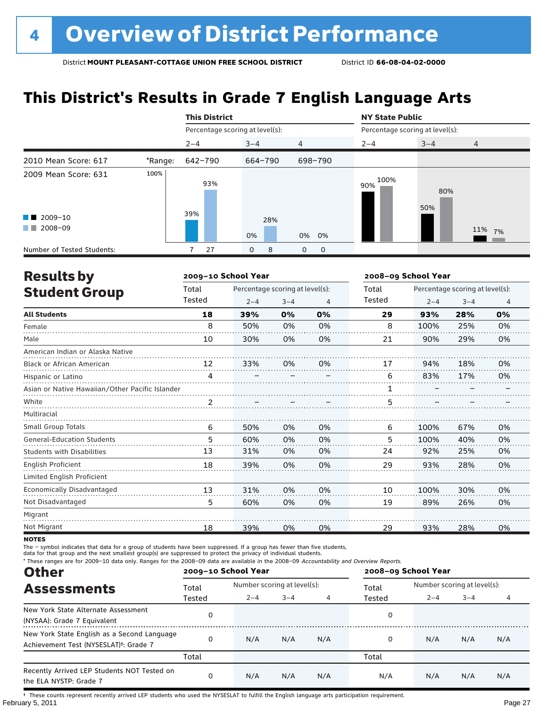# **This District's Results in Grade 7 English Language Arts**

|                                          |         | <b>This District</b>            |           |                | <b>NY State Public</b>          |            |                |
|------------------------------------------|---------|---------------------------------|-----------|----------------|---------------------------------|------------|----------------|
|                                          |         | Percentage scoring at level(s): |           |                | Percentage scoring at level(s): |            |                |
|                                          |         | $2 - 4$                         | $3 - 4$   | $\overline{4}$ | $2 - 4$                         | $3 - 4$    | $\overline{4}$ |
| 2010 Mean Score: 617                     | *Range: | 642-790                         | 664-790   | 698-790        |                                 |            |                |
| 2009 Mean Score: 631                     | 100%    | 93%<br>39%                      |           |                | 100%<br>90%                     | 80%<br>50% |                |
| $\blacksquare$ 2009-10<br>2008-09<br>. . |         |                                 | 28%<br>0% | 0% 0%          |                                 |            | 11% 7%         |
| Number of Tested Students:               |         | 27                              | 8<br>0    | 0<br>0         |                                 |            |                |

| <b>Results by</b>                               |        | 2009-10 School Year             |         |    | 2008-09 School Year |         |                                 |    |
|-------------------------------------------------|--------|---------------------------------|---------|----|---------------------|---------|---------------------------------|----|
| <b>Student Group</b>                            | Total  | Percentage scoring at level(s): |         |    | Total               |         | Percentage scoring at level(s): |    |
|                                                 | Tested | $2 - 4$                         | $3 - 4$ | 4  | Tested              | $2 - 4$ | $3 - 4$                         | 4  |
| <b>All Students</b>                             | 18     | 39%                             | 0%      | 0% | 29                  | 93%     | 28%                             | 0% |
| Female                                          | 8      | 50%                             | 0%      | 0% | 8                   | 100%    | 25%                             | 0% |
| Male                                            | 10     | 30%                             | 0%      | 0% | 21                  | 90%     | 29%                             | 0% |
| American Indian or Alaska Native                |        |                                 |         |    |                     |         |                                 |    |
| <b>Black or African American</b>                | 12     | 33%                             | 0%      | 0% | 17                  | 94%     | 18%                             | 0% |
| Hispanic or Latino                              | 4      |                                 |         |    | 6                   | 83%     | 17%                             | 0% |
| Asian or Native Hawaiian/Other Pacific Islander |        |                                 |         |    |                     |         |                                 |    |
| White                                           |        |                                 |         |    | 5                   |         |                                 |    |
| Multiracial                                     |        |                                 |         |    |                     |         |                                 |    |
| Small Group Totals                              | 6      | 50%                             | 0%      | 0% | 6                   | 100%    | 67%                             | 0% |
| <b>General-Education Students</b>               | 5      | 60%                             | 0%      | 0% | 5                   | 100%    | 40%                             | 0% |
| <b>Students with Disabilities</b>               | 13     | 31%                             | 0%      | 0% | 24                  | 92%     | 25%                             | 0% |
| <b>English Proficient</b>                       | 18     | 39%                             | 0%      | 0% | 29                  | 93%     | 28%                             | 0% |
| Limited English Proficient                      |        |                                 |         |    |                     |         |                                 |    |
| Economically Disadvantaged                      | 13     | 31%                             | 0%      | 0% | 10                  | 100%    | 30%                             | 0% |
| Not Disadvantaged                               | 5      | 60%                             | 0%      | 0% | 19                  | 89%     | 26%                             | 0% |
| Migrant                                         |        |                                 |         |    |                     |         |                                 |    |
| Not Migrant                                     | 18     | 39%                             | 0%      | 0% | 29                  | 93%     | 28%                             | 0% |

**NOTES** 

The – symbol indicates that data for a group of students have been suppressed. If a group has fewer than five students,

data for that group and the next smallest group(s) are suppressed to protect the privacy of individual students.

\* These ranges are for 2009–10 data only. Ranges for the 2008–09 data are available in the 2008–09 Accountability and Overview Reports.

| <b>Other</b>                                                                                      |        | 2009-10 School Year |                             |     | 2008-09 School Year |                             |         |     |
|---------------------------------------------------------------------------------------------------|--------|---------------------|-----------------------------|-----|---------------------|-----------------------------|---------|-----|
| <b>Assessments</b>                                                                                | Total  |                     | Number scoring at level(s): |     |                     | Number scoring at level(s): |         |     |
|                                                                                                   | Tested | $2 - 4$             | $3 - 4$                     |     | Tested              | $2 - 4$                     | $3 - 4$ | 4   |
| New York State Alternate Assessment<br>(NYSAA): Grade 7 Equivalent                                |        |                     |                             |     | 0                   |                             |         |     |
| New York State English as a Second Language<br>Achievement Test (NYSESLAT) <sup>+</sup> : Grade 7 |        | N/A                 | N/A                         | N/A | 0                   | N/A                         | N/A     | N/A |
|                                                                                                   | Total  |                     |                             |     | Total               |                             |         |     |
| Recently Arrived LEP Students NOT Tested on<br>the ELA NYSTP: Grade 7                             |        | N/A                 | N/A                         | N/A | N/A                 | N/A                         | N/A     | N/A |

February 5, 2011 Page 27 † These counts represent recently arrived LEP students who used the NYSESLAT to fulfill the English language arts participation requirement.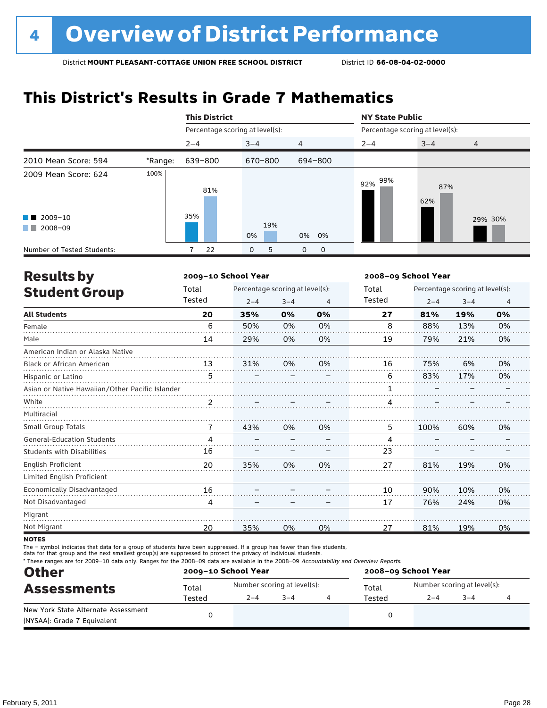### **This District's Results in Grade 7 Mathematics**

|                                                       |         | <b>This District</b>            |                   |                | <b>NY State Public</b>          |            |         |  |
|-------------------------------------------------------|---------|---------------------------------|-------------------|----------------|---------------------------------|------------|---------|--|
|                                                       |         | Percentage scoring at level(s): |                   |                | Percentage scoring at level(s): |            |         |  |
|                                                       |         | $2 - 4$                         | $3 - 4$           | $\overline{4}$ | $2 - 4$                         | $3 - 4$    | 4       |  |
| 2010 Mean Score: 594                                  | *Range: | 639-800                         | 670-800           | 694-800        |                                 |            |         |  |
| 2009 Mean Score: 624                                  | 100%    | 81%                             |                   |                | 99%<br>92%                      | 87%<br>62% |         |  |
| $\blacksquare$ 2009-10<br>2008-09<br><b>The State</b> |         | 35%                             | 19%<br>0%         | 0% 0%          |                                 |            | 29% 30% |  |
| Number of Tested Students:                            |         | 22                              | 5<br>$\mathbf{O}$ | 0<br>0         |                                 |            |         |  |

| <b>Results by</b>                               |        | 2009-10 School Year             |         |    | 2008-09 School Year |         |                                 |    |
|-------------------------------------------------|--------|---------------------------------|---------|----|---------------------|---------|---------------------------------|----|
| <b>Student Group</b>                            | Total  | Percentage scoring at level(s): |         |    | Total               |         | Percentage scoring at level(s): |    |
|                                                 | Tested | $2 - 4$                         | $3 - 4$ | 4  | Tested              | $2 - 4$ | $3 - 4$                         | 4  |
| <b>All Students</b>                             | 20     | 35%                             | 0%      | 0% | 27                  | 81%     | 19%                             | 0% |
| Female                                          | 6      | 50%                             | 0%      | 0% | 8                   | 88%     | 13%                             | 0% |
| Male                                            | 14     | 29%                             | 0%      | 0% | 19                  | 79%     | 21%                             | 0% |
| American Indian or Alaska Native                |        |                                 |         |    |                     |         |                                 |    |
| <b>Black or African American</b>                | 13     | 31%                             | 0%      | 0% | 16                  | 75%     | 6%                              | 0% |
| Hispanic or Latino                              | 5      |                                 |         |    | 6                   | 83%     | 17%                             | 0% |
| Asian or Native Hawaiian/Other Pacific Islander |        |                                 |         |    |                     |         |                                 |    |
| White                                           |        |                                 |         |    | 4                   |         |                                 |    |
| Multiracial                                     |        |                                 |         |    |                     |         |                                 |    |
| Small Group Totals                              | 7      | 43%                             | 0%      | 0% | 5                   | 100%    | 60%                             | 0% |
| <b>General-Education Students</b>               | 4      |                                 |         |    | 4                   |         |                                 |    |
| <b>Students with Disabilities</b>               | 16     |                                 |         |    | 23                  |         |                                 |    |
| English Proficient                              | 20     | 35%                             | 0%      | 0% | 27                  | 81%     | 19%                             | 0% |
| Limited English Proficient                      |        |                                 |         |    |                     |         |                                 |    |
| Economically Disadvantaged                      | 16     |                                 |         |    | 10                  | 90%     | 10%                             | 0% |
| Not Disadvantaged                               | 4      |                                 |         |    | 17                  | 76%     | 24%                             | 0% |
| Migrant                                         |        |                                 |         |    |                     |         |                                 |    |
| Not Migrant                                     | 20     | 35%                             | 0%      | 0% | 27                  | 81%     | 19%                             | 0% |

**NOTES** 

The – symbol indicates that data for a group of students have been suppressed. If a group has fewer than five students,

data for that group and the next smallest group(s) are suppressed to protect the privacy of individual students.

\* These ranges are for 2009–10 data only. Ranges for the 2008–09 data are available in the 2008–09 Accountability and Overview Reports.

| <b>Other</b>                        | 2009-10 School Year |                             |         | 2008-09 School Year |                             |  |  |  |
|-------------------------------------|---------------------|-----------------------------|---------|---------------------|-----------------------------|--|--|--|
| <b>Assessments</b>                  | Total               | Number scoring at level(s): |         | Total               | Number scoring at level(s): |  |  |  |
|                                     | Tested              | Tested                      | $2 - 4$ | $-3-4$              |                             |  |  |  |
| New York State Alternate Assessment |                     |                             |         |                     |                             |  |  |  |
| (NYSAA): Grade 7 Equivalent         |                     |                             |         |                     |                             |  |  |  |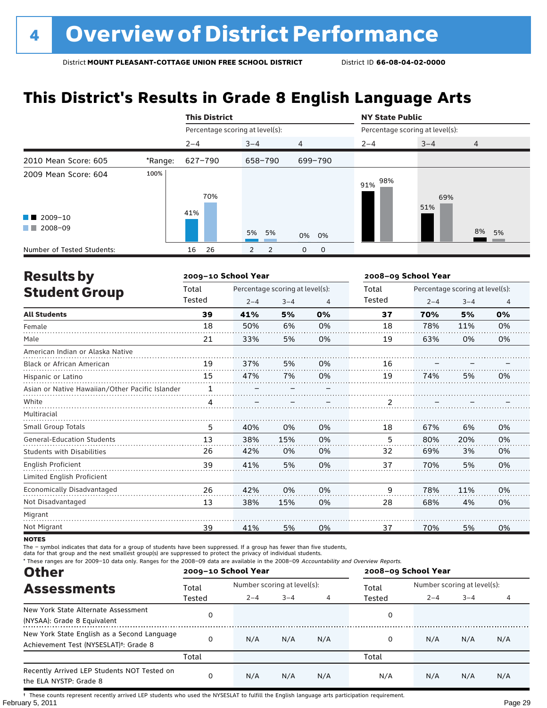# **This District's Results in Grade 8 English Language Arts**

|                                              |         | <b>This District</b>            |                     |                | <b>NY State Public</b>          |            |                |
|----------------------------------------------|---------|---------------------------------|---------------------|----------------|---------------------------------|------------|----------------|
|                                              |         | Percentage scoring at level(s): |                     |                | Percentage scoring at level(s): |            |                |
|                                              |         | $2 - 4$                         | $3 - 4$             | $\overline{4}$ | $2 - 4$                         | $3 - 4$    | $\overline{4}$ |
| 2010 Mean Score: 605                         | *Range: | 627-790                         | 658-790             | 699-790        |                                 |            |                |
| 2009 Mean Score: 604                         | 100%    | 70%<br>41%                      |                     |                | 98%<br>91%                      | 69%<br>51% |                |
| $\blacksquare$ 2009-10<br>2008-09<br>and the |         |                                 | 5% 5%               | 0% 0%          |                                 |            | 8%<br>5%       |
| Number of Tested Students:                   |         | 26<br>16                        | 2<br>$\overline{2}$ | 0<br>0         |                                 |            |                |

| <b>Results by</b>                               |        | 2009-10 School Year             |         |    | 2008-09 School Year |         |                                 |                |
|-------------------------------------------------|--------|---------------------------------|---------|----|---------------------|---------|---------------------------------|----------------|
| <b>Student Group</b>                            | Total  | Percentage scoring at level(s): |         |    | Total               |         | Percentage scoring at level(s): |                |
|                                                 | Tested | $2 - 4$                         | $3 - 4$ | 4  | Tested              | $2 - 4$ | $3 - 4$                         | $\overline{4}$ |
| <b>All Students</b>                             | 39     | 41%                             | 5%      | 0% | 37                  | 70%     | 5%                              | 0%             |
| Female                                          | 18     | 50%                             | 6%      | 0% | 18                  | 78%     | 11%                             | 0%             |
| Male                                            | 21     | 33%                             | 5%      | 0% | 19                  | 63%     | 0%                              | 0%             |
| American Indian or Alaska Native                |        |                                 |         |    |                     |         |                                 |                |
| <b>Black or African American</b>                | 19     | 37%                             | 5%      | 0% | 16                  |         |                                 |                |
| Hispanic or Latino                              | 15     | 47%                             | 7%      | 0% | 19                  | 74%     | 5%                              | 0%             |
| Asian or Native Hawaiian/Other Pacific Islander | 1      |                                 |         |    |                     |         |                                 |                |
| White                                           | 4      |                                 |         |    |                     |         |                                 |                |
| Multiracial                                     |        |                                 |         |    |                     |         |                                 |                |
| <b>Small Group Totals</b>                       | 5      | 40%                             | 0%      | 0% | 18                  | 67%     | 6%                              | 0%             |
| <b>General-Education Students</b>               | 13     | 38%                             | 15%     | 0% | 5                   | 80%     | 20%                             | 0%             |
| <b>Students with Disabilities</b>               | 26     | 42%                             | 0%      | 0% | 32                  | 69%     | 3%                              | 0%             |
| English Proficient                              | 39     | 41%                             | 5%      | 0% | 37                  | 70%     | 5%                              | 0%             |
| Limited English Proficient                      |        |                                 |         |    |                     |         |                                 |                |
| Economically Disadvantaged                      | 26     | 42%                             | 0%      | 0% | 9                   | 78%     | 11%                             | 0%             |
| Not Disadvantaged                               | 13     | 38%                             | 15%     | 0% | 28                  | 68%     | 4%                              | 0%             |
| Migrant                                         |        |                                 |         |    |                     |         |                                 |                |
| Not Migrant                                     | 39     | 41%                             | 5%      | 0% | 37                  | 70%     | 5%                              | 0%             |

**NOTES** 

The – symbol indicates that data for a group of students have been suppressed. If a group has fewer than five students,

data for that group and the next smallest group(s) are suppressed to protect the privacy of individual students.

\* These ranges are for 2009–10 data only. Ranges for the 2008–09 data are available in the 2008–09 Accountability and Overview Reports.

| <b>Other</b>                                                                                      |        | 2009-10 School Year |                             |     | 2008-09 School Year |                             |         |     |  |
|---------------------------------------------------------------------------------------------------|--------|---------------------|-----------------------------|-----|---------------------|-----------------------------|---------|-----|--|
| <b>Assessments</b>                                                                                | Total  |                     | Number scoring at level(s): |     |                     | Number scoring at level(s): |         |     |  |
|                                                                                                   | Tested | $2 - 4$             | $3 - 4$                     |     | Total<br>Tested     | $2 - 4$                     | $3 - 4$ | 4   |  |
| New York State Alternate Assessment<br>(NYSAA): Grade 8 Equivalent                                |        |                     |                             |     | 0                   |                             |         |     |  |
| New York State English as a Second Language<br>Achievement Test (NYSESLAT) <sup>+</sup> : Grade 8 |        | N/A                 | N/A                         | N/A | 0                   | N/A                         | N/A     | N/A |  |
|                                                                                                   | Total  |                     |                             |     | Total               |                             |         |     |  |
| Recently Arrived LEP Students NOT Tested on<br>the ELA NYSTP: Grade 8                             |        | N/A                 | N/A                         | N/A | N/A                 | N/A                         | N/A     | N/A |  |

February 5, 2011 **Page 29** † These counts represent recently arrived LEP students who used the NYSESLAT to fulfill the English language arts participation requirement.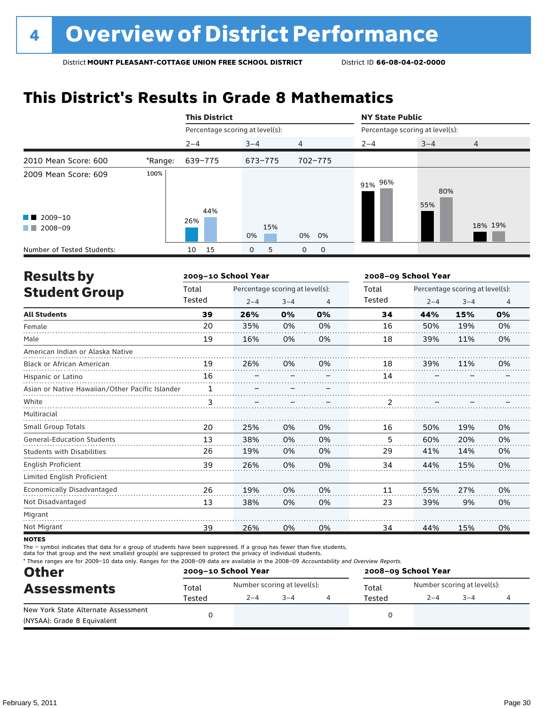### **This District's Results in Grade 8 Mathematics**

|                                                                                                                                                                                                                                                                                                   |         | <b>This District</b>            |                   |                |                                 | <b>NY State Public</b> |                |  |  |  |
|---------------------------------------------------------------------------------------------------------------------------------------------------------------------------------------------------------------------------------------------------------------------------------------------------|---------|---------------------------------|-------------------|----------------|---------------------------------|------------------------|----------------|--|--|--|
|                                                                                                                                                                                                                                                                                                   |         | Percentage scoring at level(s): |                   |                | Percentage scoring at level(s): |                        |                |  |  |  |
|                                                                                                                                                                                                                                                                                                   |         | $2 - 4$                         | $3 - 4$           | $\overline{4}$ | $2 - 4$                         | $3 - 4$                | $\overline{4}$ |  |  |  |
| 2010 Mean Score: 600                                                                                                                                                                                                                                                                              | *Range: | 639-775                         | 673-775           | 702-775        |                                 |                        |                |  |  |  |
| 2009 Mean Score: 609<br>$\blacksquare$ 2009-10<br>2008-09<br><b>The Contract of the Contract of the Contract of the Contract of the Contract of the Contract of the Contract of the Contract of the Contract of the Contract of the Contract of the Contract of The Contract of The Contract </b> | 100%    | 44%<br>26%                      | 15%<br>0%         | 0% 0%          | 91% 96%                         | 80%<br>55%             | 18% 19%        |  |  |  |
| Number of Tested Students:                                                                                                                                                                                                                                                                        |         | 15<br>10                        | 5<br>$\mathbf{O}$ | 0<br>0         |                                 |                        |                |  |  |  |

| <b>Results by</b>                               |        | 2009-10 School Year             |         | 2008-09 School Year |        |                                 |         |                |  |
|-------------------------------------------------|--------|---------------------------------|---------|---------------------|--------|---------------------------------|---------|----------------|--|
| <b>Student Group</b>                            | Total  | Percentage scoring at level(s): |         |                     | Total  | Percentage scoring at level(s): |         |                |  |
|                                                 | Tested | $2 - 4$                         | $3 - 4$ | 4                   | Tested | $2 - 4$                         | $3 - 4$ | $\overline{4}$ |  |
| <b>All Students</b>                             | 39     | 26%                             | 0%      | 0%                  | 34     | 44%                             | 15%     | 0%             |  |
| Female                                          | 20     | 35%                             | 0%      | 0%                  | 16     | 50%                             | 19%     | 0%             |  |
| Male                                            | 19     | 16%                             | 0%      | 0%                  | 18     | 39%                             | 11%     | 0%             |  |
| American Indian or Alaska Native                |        |                                 |         |                     |        |                                 |         |                |  |
| <b>Black or African American</b>                | 19     | 26%                             | 0%      | 0%                  | 18     | 39%                             | 11%     | 0%             |  |
| Hispanic or Latino                              | 16     |                                 |         |                     | 14     |                                 |         |                |  |
| Asian or Native Hawaiian/Other Pacific Islander |        |                                 |         |                     |        |                                 |         |                |  |
| White                                           | 3      |                                 |         |                     | 2      |                                 |         |                |  |
| Multiracial                                     |        |                                 |         |                     |        |                                 |         |                |  |
| Small Group Totals                              | 20     | 25%                             | 0%      | 0%                  | 16     | 50%                             | 19%     | 0%             |  |
| <b>General-Education Students</b>               | 13     | 38%                             | 0%      | 0%                  | 5      | 60%                             | 20%     | 0%             |  |
| <b>Students with Disabilities</b>               | 26     | 19%                             | 0%      | 0%                  | 29     | 41%                             | 14%     | 0%             |  |
| <b>English Proficient</b>                       | 39     | 26%                             | 0%      | 0%                  | 34     | 44%                             | 15%     | 0%             |  |
| Limited English Proficient                      |        |                                 |         |                     |        |                                 |         |                |  |
| Economically Disadvantaged                      | 26     | 19%                             | 0%      | 0%                  | 11     | 55%                             | 27%     | 0%             |  |
| Not Disadvantaged                               | 13     | 38%                             | 0%      | 0%                  | 23     | 39%                             | 9%      | 0%             |  |
| Migrant                                         |        |                                 |         |                     |        |                                 |         |                |  |
| Not Migrant                                     | 39     | 26%                             | 0%      | 0%                  | 34     | 44%                             | 15%     | 0%             |  |

**NOTES** 

The – symbol indicates that data for a group of students have been suppressed. If a group has fewer than five students,

data for that group and the next smallest group(s) are suppressed to protect the privacy of individual students.

\* These ranges are for 2009–10 data only. Ranges for the 2008–09 data are available in the 2008–09 Accountability and Overview Reports.

| <b>Other</b>                                                       |        | 2009-10 School Year         |         | 2008-09 School Year |                             |         |  |  |
|--------------------------------------------------------------------|--------|-----------------------------|---------|---------------------|-----------------------------|---------|--|--|
| <b>Assessments</b>                                                 | Total  | Number scoring at level(s): |         | Total               | Number scoring at level(s): |         |  |  |
|                                                                    | Tested | $2 - 4$                     | $3 - 4$ | Tested              | $2 - 4$                     | $3 - 4$ |  |  |
| New York State Alternate Assessment<br>(NYSAA): Grade 8 Equivalent |        |                             |         |                     |                             |         |  |  |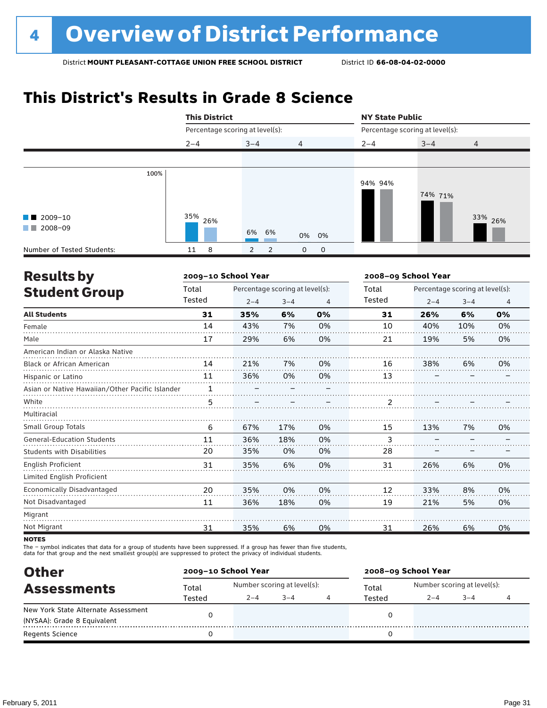## **This District's Results in Grade 8 Science**

|                                              |      | <b>This District</b>            |                                  |                  | <b>NY State Public</b><br>Percentage scoring at level(s): |         |                |  |  |
|----------------------------------------------|------|---------------------------------|----------------------------------|------------------|-----------------------------------------------------------|---------|----------------|--|--|
|                                              |      | Percentage scoring at level(s): |                                  |                  |                                                           |         |                |  |  |
|                                              |      | $2 - 4$                         | $3 - 4$                          | $\overline{4}$   | $2 - 4$                                                   | $3 - 4$ | $\overline{4}$ |  |  |
|                                              |      |                                 |                                  |                  |                                                           |         |                |  |  |
| $\blacksquare$ 2009-10<br>2008-09<br>a sa Ba | 100% | 35%<br>26%                      |                                  |                  | 94% 94%                                                   | 74% 71% | 33% 26%        |  |  |
|                                              |      |                                 | 6% 6%                            | 0% 0%            |                                                           |         |                |  |  |
| Number of Tested Students:                   |      | 8<br>11                         | $\overline{2}$<br>$\overline{2}$ | $\mathbf 0$<br>0 |                                                           |         |                |  |  |

| <b>Results by</b>                               |        | 2009-10 School Year             |         |                | 2008-09 School Year |         |                                 |                |  |
|-------------------------------------------------|--------|---------------------------------|---------|----------------|---------------------|---------|---------------------------------|----------------|--|
| <b>Student Group</b>                            | Total  | Percentage scoring at level(s): |         |                | Total               |         | Percentage scoring at level(s): |                |  |
|                                                 | Tested | $2 - 4$                         | $3 - 4$ | $\overline{4}$ | Tested              | $2 - 4$ | $3 - 4$                         | $\overline{4}$ |  |
| <b>All Students</b>                             | 31     | 35%                             | 6%      | 0%             | 31                  | 26%     | 6%                              | 0%             |  |
| Female                                          | 14     | 43%                             | 7%      | 0%             | 10                  | 40%     | 10%                             | 0%             |  |
| Male                                            | 17     | 29%                             | 6%      | 0%             | 21                  | 19%     | 5%                              | 0%             |  |
| American Indian or Alaska Native                |        |                                 |         |                |                     |         |                                 |                |  |
| <b>Black or African American</b>                | 14     | 21%                             | 7%      | 0%             | 16                  | 38%     | 6%                              | 0%             |  |
| Hispanic or Latino                              | 11     | 36%                             | 0%      | 0%             | 13                  |         |                                 |                |  |
| Asian or Native Hawaiian/Other Pacific Islander |        |                                 |         |                |                     |         |                                 |                |  |
| White                                           | 5      |                                 |         |                | 2                   |         |                                 |                |  |
| Multiracial                                     |        |                                 |         |                |                     |         |                                 |                |  |
| <b>Small Group Totals</b>                       | 6      | 67%                             | 17%     | 0%             | 15                  | 13%     | 7%                              | 0%             |  |
| <b>General-Education Students</b>               | 11     | 36%                             | 18%     | 0%             | 3                   |         |                                 |                |  |
| <b>Students with Disabilities</b>               | 20     | 35%                             | 0%      | 0%             | 28                  |         |                                 |                |  |
| English Proficient                              | 31     | 35%                             | 6%      | 0%             | 31                  | 26%     | 6%                              | 0%             |  |
| Limited English Proficient                      |        |                                 |         |                |                     |         |                                 |                |  |
| Economically Disadvantaged                      | 20     | 35%                             | 0%      | 0%             | 12                  | 33%     | 8%                              | 0%             |  |
| Not Disadvantaged                               | 11     | 36%                             | 18%     | 0%             | 19                  | 21%     | 5%                              | 0%             |  |
| Migrant                                         |        |                                 |         |                |                     |         |                                 |                |  |
| Not Migrant                                     | 31     | 35%                             | 6%      | 0%             | 31                  | 26%     | 6%                              | 0%             |  |

**NOTES** 

The – symbol indicates that data for a group of students have been suppressed. If a group has fewer than five students,<br>data for that group and the next smallest group(s) are suppressed to protect the privacy of individual

| <b>Other</b>                        |                 | 2009-10 School Year         |         |  | 2008-09 School Year |                             |         |  |  |
|-------------------------------------|-----------------|-----------------------------|---------|--|---------------------|-----------------------------|---------|--|--|
| <b>Assessments</b>                  | Total<br>Tested | Number scoring at level(s): |         |  | Total               | Number scoring at level(s): |         |  |  |
|                                     |                 | $2 - 4$                     | $3 - 4$ |  | Tested              | $2 - 4$                     | $3 - 4$ |  |  |
| New York State Alternate Assessment |                 |                             |         |  |                     |                             |         |  |  |
| (NYSAA): Grade 8 Equivalent         |                 |                             |         |  |                     |                             |         |  |  |
| <b>Regents Science</b>              |                 |                             |         |  |                     |                             |         |  |  |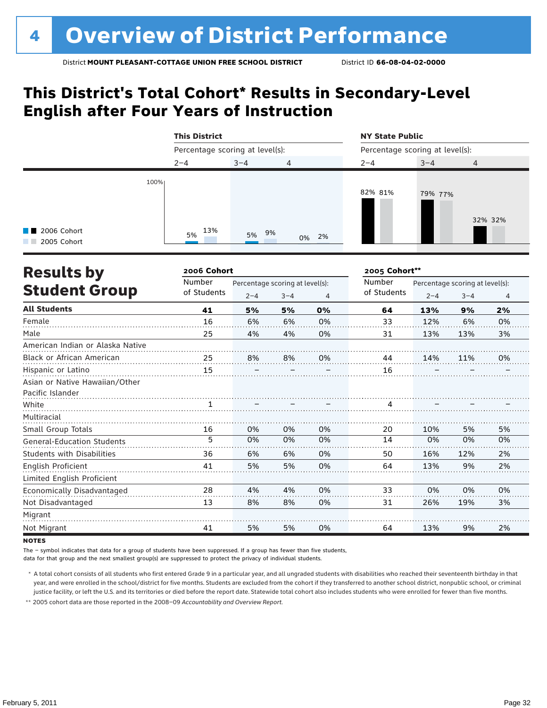### **This District's Total Cohort\* Results in Secondary-Level English after Four Years of Instruction**

|                                           |      | <b>This District</b>            |         |                | <b>NY State Public</b>          |         |         |  |
|-------------------------------------------|------|---------------------------------|---------|----------------|---------------------------------|---------|---------|--|
|                                           |      | Percentage scoring at level(s): |         |                | Percentage scoring at level(s): |         |         |  |
|                                           |      | $2 - 4$                         | $3 - 4$ | $\overline{4}$ | $2 - 4$                         | $3 - 4$ | 4       |  |
| $\blacksquare$ 2006 Cohort<br>2005 Cohort | 100% | 13%<br>5%                       | 5% 9%   | 0% 2%          | 82% 81%                         | 79% 77% | 32% 32% |  |

| <b>Results by</b>                 | 2006 Cohort |                                 |         | 2005 Cohort** |               |         |                                 |                |
|-----------------------------------|-------------|---------------------------------|---------|---------------|---------------|---------|---------------------------------|----------------|
|                                   | Number      | Percentage scoring at level(s): |         |               | <b>Number</b> |         | Percentage scoring at level(s): |                |
| <b>Student Group</b>              | of Students | $2 - 4$                         | $3 - 4$ | 4             | of Students   | $2 - 4$ | $3 - 4$                         | $\overline{4}$ |
| <b>All Students</b>               | 41          | 5%                              | 5%      | 0%            | 64            | 13%     | 9%                              | 2%             |
| Female                            | 16          | 6%                              | 6%      | 0%            | 33            | 12%     | 6%                              | 0%             |
| Male                              | 25          | 4%                              | 4%      | 0%            | 31            | 13%     | 13%                             | 3%             |
| American Indian or Alaska Native  |             |                                 |         |               |               |         |                                 |                |
| <b>Black or African American</b>  | 25          | 8%                              | 8%      | 0%            | 44            | 14%     | 11%                             | 0%             |
| Hispanic or Latino                | 15          |                                 |         |               | 16            |         |                                 |                |
| Asian or Native Hawaiian/Other    |             |                                 |         |               |               |         |                                 |                |
| Pacific Islander                  |             |                                 |         |               |               |         |                                 |                |
| White                             |             |                                 |         |               | 4             |         |                                 |                |
| Multiracial                       |             |                                 |         |               |               |         |                                 |                |
| Small Group Totals                | 16          | 0%                              | 0%      | 0%            | 20            | 10%     | 5%                              | 5%             |
| <b>General-Education Students</b> | 5           | 0%                              | 0%      | 0%            | 14            | 0%      | 0%                              | 0%             |
| <b>Students with Disabilities</b> | 36          | 6%                              | 6%      | 0%            | 50            | 16%     | 12%                             | 2%             |
| English Proficient                | 41          | 5%                              | 5%      | 0%            | 64            | 13%     | 9%                              | 2%             |
| Limited English Proficient        |             |                                 |         |               |               |         |                                 |                |
| Economically Disadvantaged        | 28          | 4%                              | 4%      | 0%            | 33            | 0%      | 0%                              | 0%             |
| Not Disadvantaged                 | 13          | 8%                              | 8%      | 0%            | 31            | 26%     | 19%                             | 3%             |
| Migrant                           |             |                                 |         |               |               |         |                                 |                |
| Not Migrant                       | 41          | 5%                              | 5%      | 0%            | 64            | 13%     | 9%                              | 2%             |

**NOTES** 

The – symbol indicates that data for a group of students have been suppressed. If a group has fewer than five students,

data for that group and the next smallest group(s) are suppressed to protect the privacy of individual students.

 \* A total cohort consists of all students who first entered Grade 9 in a particular year, and all ungraded students with disabilities who reached their seventeenth birthday in that year, and were enrolled in the school/district for five months. Students are excluded from the cohort if they transferred to another school district, nonpublic school, or criminal justice facility, or left the U.S. and its territories or died before the report date. Statewide total cohort also includes students who were enrolled for fewer than five months.

 \*\* 2005 cohort data are those reported in the 2008–09 *Accountability and Overview Report*.